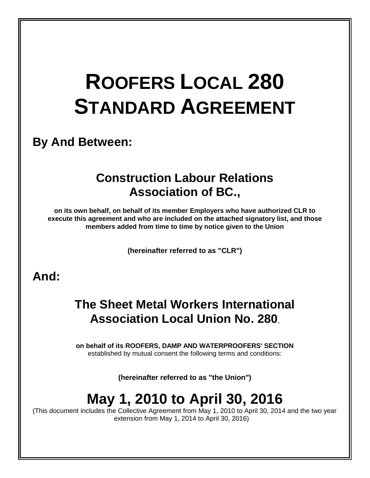## **ROOFERS LOCAL 280 STANDARD AGREEMENT**

### **By And Between:**

### **Construction Labour Relations Association of BC.,**

**on its own behalf, on behalf of its member Employers who have authorized CLR to execute this agreement and who are included on the attached signatory list, and those members added from time to time by notice given to the Union**

**(hereinafter referred to as "CLR")**

### **And:**

### **The Sheet Metal Workers International Association Local Union No. 280**,

**on behalf of its ROOFERS, DAMP AND WATERPROOFERS' SECTION** established by mutual consent the following terms and conditions:

**(hereinafter referred to as "the Union")**

## **May 1, 2010 to April 30, 2016**

(This document includes the Collective Agreement from May 1, 2010 to April 30, 2014 and the two year extension from May 1, 2014 to April 30, 2016)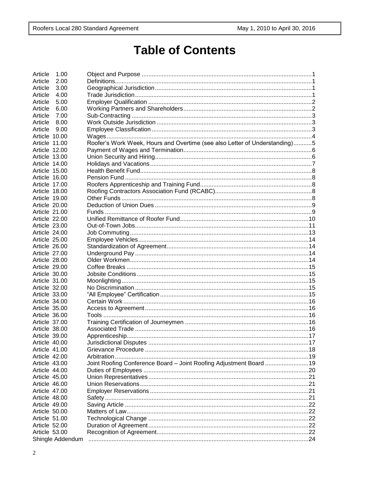### **Table of Contents**

| Article<br>1.00  |                                                                            |  |
|------------------|----------------------------------------------------------------------------|--|
| Article<br>2.00  |                                                                            |  |
| Article<br>3.00  |                                                                            |  |
| Article<br>4.00  |                                                                            |  |
| Article<br>5.00  |                                                                            |  |
| Article<br>6.00  |                                                                            |  |
| Article<br>7.00  |                                                                            |  |
| Article<br>8.00  |                                                                            |  |
| Article<br>9.00  |                                                                            |  |
| Article 10.00    |                                                                            |  |
| Article 11.00    | Roofer's Work Week, Hours and Overtime (see also Letter of Understanding)5 |  |
| Article 12.00    |                                                                            |  |
| Article 13.00    |                                                                            |  |
| Article 14.00    |                                                                            |  |
| Article 15.00    |                                                                            |  |
| Article 16.00    |                                                                            |  |
| Article 17.00    |                                                                            |  |
| Article 18.00    |                                                                            |  |
| Article 19.00    |                                                                            |  |
| Article 20.00    |                                                                            |  |
| Article 21.00    |                                                                            |  |
| Article 22.00    |                                                                            |  |
| Article 23.00    |                                                                            |  |
|                  |                                                                            |  |
| Article 24.00    |                                                                            |  |
| Article 25.00    |                                                                            |  |
| Article 26.00    |                                                                            |  |
| Article 27.00    |                                                                            |  |
| Article 28.00    |                                                                            |  |
| Article 29.00    |                                                                            |  |
| Article 30.00    |                                                                            |  |
| Article 31.00    |                                                                            |  |
| Article 32.00    |                                                                            |  |
| Article 33.00    |                                                                            |  |
| Article 34.00    |                                                                            |  |
| Article 35.00    |                                                                            |  |
| Article 36.00    |                                                                            |  |
| Article 37.00    |                                                                            |  |
| Article 38.00    |                                                                            |  |
| Article 39.00    |                                                                            |  |
| Article 40.00    |                                                                            |  |
| Article 41.00    |                                                                            |  |
| Article 42.00    |                                                                            |  |
| Article 43.00    | Joint Roofing Conference Board - Joint Roofing Adjustment Board  19        |  |
| Article 44,00    |                                                                            |  |
| Article 45.00    |                                                                            |  |
| Article 46.00    |                                                                            |  |
| Article 47.00    |                                                                            |  |
| Article 48.00    |                                                                            |  |
| Article 49.00    |                                                                            |  |
| Article 50.00    |                                                                            |  |
| Article 51.00    |                                                                            |  |
| Article 52.00    |                                                                            |  |
| Article 53.00    |                                                                            |  |
|                  |                                                                            |  |
| Shingle Addendum |                                                                            |  |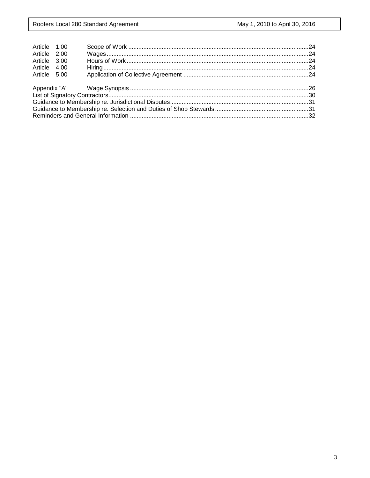| Article 1.00 |  |  |
|--------------|--|--|
| Article 2.00 |  |  |
| Article 3.00 |  |  |
| Article 4.00 |  |  |
| Article 5.00 |  |  |
|              |  |  |
|              |  |  |
|              |  |  |
|              |  |  |
|              |  |  |
|              |  |  |
|              |  |  |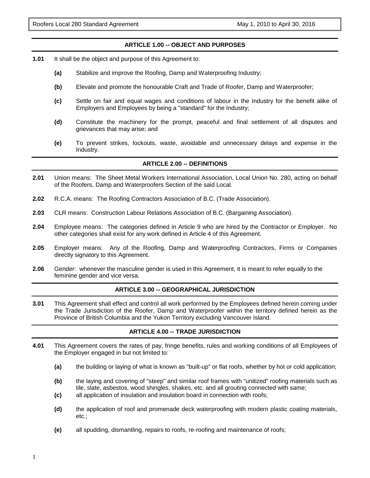#### **ARTICLE 1.00 -- OBJECT AND PURPOSES**

- **1.01** It shall be the object and purpose of this Agreement to:
	- **(a)** Stabilize and improve the Roofing, Damp and Waterproofing Industry;
	- **(b)** Elevate and promote the honourable Craft and Trade of Roofer, Damp and Waterproofer;
	- **(c)** Settle on fair and equal wages and conditions of labour in the Industry for the benefit alike of Employers and Employees by being a "standard" for the Industry;
	- **(d)** Constitute the machinery for the prompt, peaceful and final settlement of all disputes and grievances that may arise; and
	- **(e)** To prevent strikes, lockouts, waste, avoidable and unnecessary delays and expense in the Industry.

#### **ARTICLE 2.00 -- DEFINITIONS**

- **2.01** Union means: The Sheet Metal Workers International Association, Local Union No. 280, acting on behalf of the Roofers, Damp and Waterproofers Section of the said Local.
- **2.02** R.C.A. means: The Roofing Contractors Association of B.C. (Trade Association).
- **2.03** CLR means: Construction Labour Relations Association of B.C. (Bargaining Association).
- **2.04** Employee means: The categories defined in Article 9 who are hired by the Contractor or Employer. No other categories shall exist for any work defined in Article 4 of this Agreement.
- **2.05** Employer means: Any of the Roofing, Damp and Waterproofing Contractors, Firms or Companies directly signatory to this Agreement.
- **2.06** Gender: whenever the masculine gender is used in this Agreement, it is meant to refer equally to the feminine gender and vice versa.

#### **ARTICLE 3.00 -- GEOGRAPHICAL JURISDICTION**

**3.01** This Agreement shall effect and control all work performed by the Employees defined herein coming under the Trade Jurisdiction of the Roofer, Damp and Waterproofer within the territory defined herein as the Province of British Columbia and the Yukon Territory excluding Vancouver Island.

#### **ARTICLE 4.00 -- TRADE JURISDICTION**

- **4.01** This Agreement covers the rates of pay, fringe benefits, rules and working conditions of all Employees of the Employer engaged in but not limited to:
	- **(a)** the building or laying of what is known as "built-up" or flat roofs, whether by hot or cold application;
	- **(b)** the laying and covering of "steep" and similar roof frames with "unitized" roofing materials such as tile, slate, asbestos, wood shingles, shakes, etc. and all grouting connected with same;
	- **(c)** all application of insulation and insulation board in connection with roofs;
	- **(d)** the application of roof and promenade deck waterproofing with modern plastic coating materials, etc.;
	- **(e)** all spudding, dismantling, repairs to roofs, re-roofing and maintenance of roofs;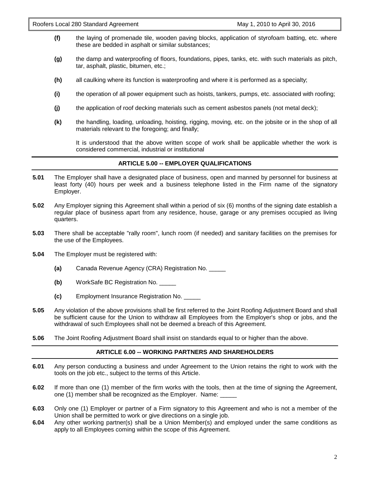- **(f)** the laying of promenade tile, wooden paving blocks, application of styrofoam batting, etc. where these are bedded in asphalt or similar substances;
- **(g)** the damp and waterproofing of floors, foundations, pipes, tanks, etc. with such materials as pitch, tar, asphalt, plastic, bitumen, etc.;
- **(h)** all caulking where its function is waterproofing and where it is performed as a specialty;
- **(i)** the operation of all power equipment such as hoists, tankers, pumps, etc. associated with roofing;
- **(j)** the application of roof decking materials such as cement asbestos panels (not metal deck);
- **(k)** the handling, loading, unloading, hoisting, rigging, moving, etc. on the jobsite or in the shop of all materials relevant to the foregoing; and finally;

It is understood that the above written scope of work shall be applicable whether the work is considered commercial, industrial or institutional

#### **ARTICLE 5.00 -- EMPLOYER QUALIFICATIONS**

- **5.01** The Employer shall have a designated place of business, open and manned by personnel for business at least forty (40) hours per week and a business telephone listed in the Firm name of the signatory Employer.
- **5.02** Any Employer signing this Agreement shall within a period of six (6) months of the signing date establish a regular place of business apart from any residence, house, garage or any premises occupied as living quarters.
- **5.03** There shall be acceptable "rally room", lunch room (if needed) and sanitary facilities on the premises for the use of the Employees.
- **5.04** The Employer must be registered with:
	- **(a)** Canada Revenue Agency (CRA) Registration No. \_\_\_\_\_
	- **(b)** WorkSafe BC Registration No. \_\_\_\_\_
	- **(c)** Employment Insurance Registration No. \_\_\_\_\_
- **5.05** Any violation of the above provisions shall be first referred to the Joint Roofing Adjustment Board and shall be sufficient cause for the Union to withdraw all Employees from the Employer's shop or jobs, and the withdrawal of such Employees shall not be deemed a breach of this Agreement.
- **5.06** The Joint Roofing Adjustment Board shall insist on standards equal to or higher than the above.

#### **ARTICLE 6.00 -- WORKING PARTNERS AND SHAREHOLDERS**

- **6.01** Any person conducting a business and under Agreement to the Union retains the right to work with the tools on the job etc., subject to the terms of this Article.
- **6.02** If more than one (1) member of the firm works with the tools, then at the time of signing the Agreement, one (1) member shall be recognized as the Employer. Name: \_\_\_\_
- **6.03** Only one (1) Employer or partner of a Firm signatory to this Agreement and who is not a member of the Union shall be permitted to work or give directions on a single job.
- **6.04** Any other working partner(s) shall be a Union Member(s) and employed under the same conditions as apply to all Employees coming within the scope of this Agreement.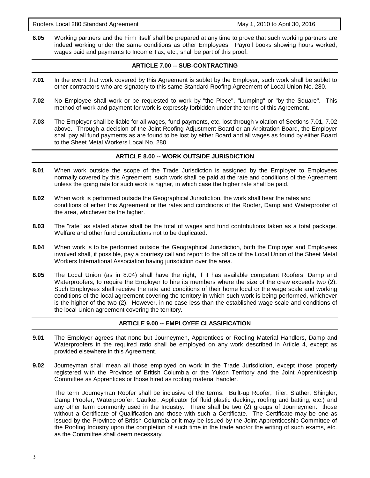Roofers Local 280 Standard Agreement May 1, 2010 to April 30, 2016

**6.05** Working partners and the Firm itself shall be prepared at any time to prove that such working partners are indeed working under the same conditions as other Employees. Payroll books showing hours worked, wages paid and payments to Income Tax, etc., shall be part of this proof.

#### **ARTICLE 7.00 -- SUB-CONTRACTING**

- **7.01** In the event that work covered by this Agreement is sublet by the Employer, such work shall be sublet to other contractors who are signatory to this same Standard Roofing Agreement of Local Union No. 280.
- **7.02** No Employee shall work or be requested to work by "the Piece", "Lumping" or "by the Square". This method of work and payment for work is expressly forbidden under the terms of this Agreement.
- **7.03** The Employer shall be liable for all wages, fund payments, etc. lost through violation of Sections 7.01, 7.02 above. Through a decision of the Joint Roofing Adjustment Board or an Arbitration Board, the Employer shall pay all fund payments as are found to be lost by either Board and all wages as found by either Board to the Sheet Metal Workers Local No. 280.

#### **ARTICLE 8.00 -- WORK OUTSIDE JURISDICTION**

- **8.01** When work outside the scope of the Trade Jurisdiction is assigned by the Employer to Employees normally covered by this Agreement, such work shall be paid at the rate and conditions of the Agreement unless the going rate for such work is higher, in which case the higher rate shall be paid.
- **8.02** When work is performed outside the Geographical Jurisdiction, the work shall bear the rates and conditions of either this Agreement or the rates and conditions of the Roofer, Damp and Waterproofer of the area, whichever be the higher.
- **8.03** The "rate" as stated above shall be the total of wages and fund contributions taken as a total package. Welfare and other fund contributions not to be duplicated.
- **8.04** When work is to be performed outside the Geographical Jurisdiction, both the Employer and Employees involved shall, if possible, pay a courtesy call and report to the office of the Local Union of the Sheet Metal Workers International Association having jurisdiction over the area.
- **8.05** The Local Union (as in 8.04) shall have the right, if it has available competent Roofers, Damp and Waterproofers, to require the Employer to hire its members where the size of the crew exceeds two (2). Such Employees shall receive the rate and conditions of their home local or the wage scale and working conditions of the local agreement covering the territory in which such work is being performed, whichever is the higher of the two (2). However, in no case less than the established wage scale and conditions of the local Union agreement covering the territory.

#### **ARTICLE 9.00 -- EMPLOYEE CLASSIFICATION**

- **9.01** The Employer agrees that none but Journeymen, Apprentices or Roofing Material Handlers, Damp and Waterproofers in the required ratio shall be employed on any work described in Article 4, except as provided elsewhere in this Agreement.
- **9.02** Journeyman shall mean all those employed on work in the Trade Jurisdiction, except those properly registered with the Province of British Columbia or the Yukon Territory and the Joint Apprenticeship Committee as Apprentices or those hired as roofing material handler.

The term Journeyman Roofer shall be inclusive of the terms: Built-up Roofer; Tiler; Slather; Shingler; Damp Proofer; Waterproofer; Caulker; Applicator (of fluid plastic decking, roofing and batting, etc.) and any other term commonly used in the Industry. There shall be two (2) groups of Journeymen: those without a Certificate of Qualification and those with such a Certificate. The Certificate may be one as issued by the Province of British Columbia or it may be issued by the Joint Apprenticeship Committee of the Roofing Industry upon the completion of such time in the trade and/or the writing of such exams, etc. as the Committee shall deem necessary.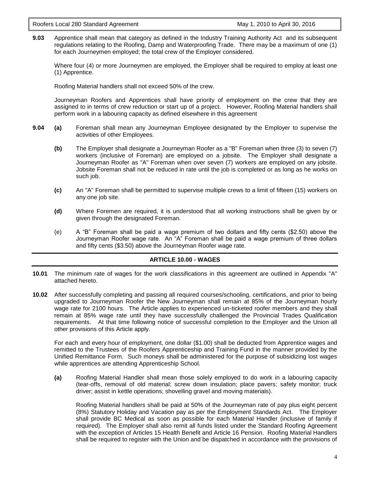**9.03** Apprentice shall mean that category as defined in the Industry Training Authority Act and its subsequent regulations relating to the Roofing, Damp and Waterproofing Trade. There may be a maximum of one (1) for each Journeymen employed; the total crew of the Employer considered.

Where four (4) or more Journeymen are employed, the Employer shall be required to employ at least one (1) Apprentice.

Roofing Material handlers shall not exceed 50% of the crew.

Journeyman Roofers and Apprentices shall have priority of employment on the crew that they are assigned to in terms of crew reduction or start up of a project. However, Roofing Material handlers shall perform work in a labouring capacity as defined elsewhere in this agreement

- **9.04 (a)** Foreman shall mean any Journeyman Employee designated by the Employer to supervise the activities of other Employees.
	- **(b)** The Employer shall designate a Journeyman Roofer as a "B" Foreman when three (3) to seven (7) workers (inclusive of Foreman) are employed on a jobsite. The Employer shall designate a Journeyman Roofer as "A" Foreman when over seven (7) workers are employed on any jobsite. Jobsite Foreman shall not be reduced in rate until the job is completed or as long as he works on such job.
	- **(c)** An "A" Foreman shall be permitted to supervise multiple crews to a limit of fifteen (15) workers on any one job site.
	- **(d)** Where Foremen are required, it is understood that all working instructions shall be given by or given through the designated Foreman.
	- (e) A "B" Foreman shall be paid a wage premium of two dollars and fifty cents (\$2.50) above the Journeyman Roofer wage rate. An "A" Foreman shall be paid a wage premium of three dollars and fifty cents (\$3.50) above the Journeyman Roofer wage rate.

#### **ARTICLE 10.00 - WAGES**

- **10.01** The minimum rate of wages for the work classifications in this agreement are outlined in Appendix "A" attached hereto.
- **10.02** After successfully completing and passing all required courses/schooling, certifications, and prior to being upgraded to Journeyman Roofer the New Journeyman shall remain at 85% of the Journeyman hourly wage rate for 2100 hours. The Article applies to experienced un-ticketed roofer members and they shall remain at 85% wage rate until they have successfully challenged the Provincial Trades Qualification requirements. At that time following notice of successful completion to the Employer and the Union all other provisions of this Article apply.

For each and every hour of employment, one dollar (\$1.00) shall be deducted from Apprentice wages and remitted to the Trustees of the Roofers Apprenticeship and Training Fund in the manner provided by the Unified Remittance Form. Such moneys shall be administered for the purpose of subsidizing lost wages while apprentices are attending Apprenticeship School.

**(a)** Roofing Material Handler shall mean those solely employed to do work in a labouring capacity (tear-offs, removal of old material; screw down insulation; place pavers; safety monitor; truck driver; assist in kettle operations; shovelling gravel and moving materials).

Roofing Material handlers shall be paid at 50% of the Journeyman rate of pay plus eight percent (8%) Statutory Holiday and Vacation pay as per the Employment Standards Act. The Employer shall provide BC Medical as soon as possible for each Material Handler (inclusive of family if required). The Employer shall also remit all funds listed under the Standard Roofing Agreement with the exception of Articles 15 Health Benefit and Article 16 Pension. Roofing Material Handlers shall be required to register with the Union and be dispatched in accordance with the provisions of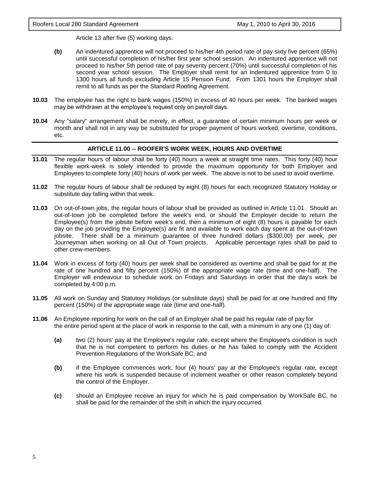Article 13 after five (5) working days.

- **(b)** An indentured apprentice will not proceed to his/her 4th period rate of pay sixty five percent (65%) until successful completion of his/her first year school session. An indentured apprentice will not proceed to his/her 5th period rate of pay seventy percent (70%) until successful completion of his second year school session. The Employer shall remit for an Indentured apprentice from 0 to 1300 hours all funds excluding Article 15 Pension Fund. From 1301 hours the Employer shall remit to all funds as per the Standard Roofing Agreement.
- **10.03** The employee has the right to bank wages (150%) in excess of 40 hours per week. The banked wages may be withdrawn at the employee's request only on payroll days.
- **10.04** Any "salary" arrangement shall be merely, in effect, a guarantee of certain minimum hours per week or month and shall not in any way be substituted for proper payment of hours worked, overtime, conditions, etc.

#### **ARTICLE 11.00 -- ROOFER'S WORK WEEK, HOURS AND OVERTIME**

- **11.01** The regular hours of labour shall be forty (40) hours a week at straight time rates. This forty (40) hour flexible work-week is solely intended to provide the maximum opportunity for both Employer and Employees to complete forty (40) hours of work per week. The above is not to be used to avoid overtime.
- **11.02** The regular hours of labour shall be reduced by eight (8) hours for each recognized Statutory Holiday or substitute day falling within that week.
- **11.03** On out-of-town jobs, the regular hours of labour shall be provided as outlined in Article 11.01. Should an out-of-town job be completed before the week's end, or should the Employer decide to return the Employee(s) from the jobsite before week's end, then a minimum of eight (8) hours is payable for each day on the job providing the Employee(s) are fit and available to work each day spent at the out-of-town jobsite. There shall be a minimum guarantee of three hundred dollars (\$300.00) per week, per Journeyman when working on all Out of Town projects. Applicable percentage rates shall be paid to other crew-members.
- **11.04** Work in excess of forty (40) hours per week shall be considered as overtime and shall be paid for at the rate of one hundred and fifty percent (150%) of the appropriate wage rate (time and one-half). The Employer will endeavour to schedule work on Fridays and Saturdays in order that the day's work be completed by 4:00 p.m.
- **11.05** All work on Sunday and Statutory Holidays (or substitute days) shall be paid for at one hundred and fifty percent (150%) of the appropriate wage rate (time and one-half).
- **11.06** An Employee reporting for work on the call of an Employer shall be paid his regular rate of pay for the entire period spent at the place of work in response to the call, with a minimum in any one (1) day of:
	- **(a)** two (2) hours' pay at the Employee's regular rate, except where the Employee's condition is such that he is not competent to perform his duties or he has failed to comply with the Accident Prevention Regulations of the WorkSafe BC; and
	- **(b)** if the Employee commences work, four (4) hours' pay at the Employee's regular rate, except where his work is suspended because of inclement weather or other reason completely beyond the control of the Employer.
	- **(c)** should an Employee receive an injury for which he is paid compensation by WorkSafe BC, he shall be paid for the remainder of the shift in which the injury occurred.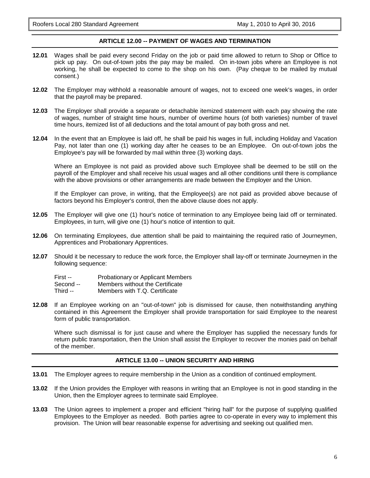#### **ARTICLE 12.00 -- PAYMENT OF WAGES AND TERMINATION**

- **12.01** Wages shall be paid every second Friday on the job or paid time allowed to return to Shop or Office to pick up pay. On out-of-town jobs the pay may be mailed. On in-town jobs where an Employee is not working, he shall be expected to come to the shop on his own. (Pay cheque to be mailed by mutual consent.)
- **12.02** The Employer may withhold a reasonable amount of wages, not to exceed one week's wages, in order that the payroll may be prepared.
- **12.03** The Employer shall provide a separate or detachable itemized statement with each pay showing the rate of wages, number of straight time hours, number of overtime hours (of both varieties) number of travel time hours, itemized list of all deductions and the total amount of pay both gross and net.
- **12.04** In the event that an Employee is laid off, he shall be paid his wages in full, including Holiday and Vacation Pay, not later than one (1) working day after he ceases to be an Employee. On out-of-town jobs the Employee's pay will be forwarded by mail within three (3) working days.

Where an Employee is not paid as provided above such Employee shall be deemed to be still on the payroll of the Employer and shall receive his usual wages and all other conditions until there is compliance with the above provisions or other arrangements are made between the Employer and the Union.

If the Employer can prove, in writing, that the Employee(s) are not paid as provided above because of factors beyond his Employer's control, then the above clause does not apply.

- **12.05** The Employer will give one (1) hour's notice of termination to any Employee being laid off or terminated. Employees, in turn, will give one (1) hour's notice of intention to quit.
- **12.06** On terminating Employees, due attention shall be paid to maintaining the required ratio of Journeymen, Apprentices and Probationary Apprentices.
- **12.07** Should it be necessary to reduce the work force, the Employer shall lay-off or terminate Journeymen in the following sequence:

| First --  | <b>Probationary or Applicant Members</b> |
|-----------|------------------------------------------|
| Second -- | Members without the Certificate          |
| .         | $\mathbf{M}$ . $\mathbf{M}$              |

- Third -- Members with T.Q. Certificate
- **12.08** If an Employee working on an "out-of-town" job is dismissed for cause, then notwithstanding anything contained in this Agreement the Employer shall provide transportation for said Employee to the nearest form of public transportation.

Where such dismissal is for just cause and where the Employer has supplied the necessary funds for return public transportation, then the Union shall assist the Employer to recover the monies paid on behalf of the member.

#### **ARTICLE 13.00 -- UNION SECURITY AND HIRING**

- **13.01** The Employer agrees to require membership in the Union as a condition of continued employment.
- **13.02** If the Union provides the Employer with reasons in writing that an Employee is not in good standing in the Union, then the Employer agrees to terminate said Employee.
- **13.03** The Union agrees to implement a proper and efficient "hiring hall" for the purpose of supplying qualified Employees to the Employer as needed. Both parties agree to co-operate in every way to implement this provision. The Union will bear reasonable expense for advertising and seeking out qualified men.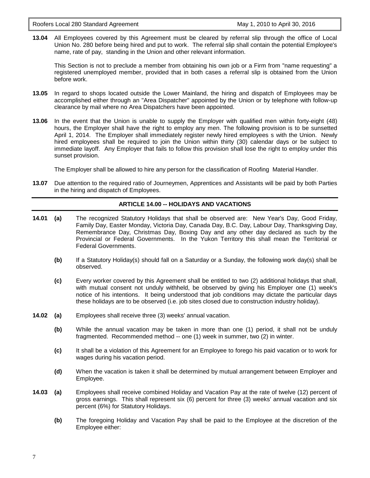**13.04** All Employees covered by this Agreement must be cleared by referral slip through the office of Local Union No. 280 before being hired and put to work. The referral slip shall contain the potential Employee's name, rate of pay, standing in the Union and other relevant information.

This Section is not to preclude a member from obtaining his own job or a Firm from "name requesting" a registered unemployed member, provided that in both cases a referral slip is obtained from the Union before work.

- **13.05** In regard to shops located outside the Lower Mainland, the hiring and dispatch of Employees may be accomplished either through an "Area Dispatcher" appointed by the Union or by telephone with follow-up clearance by mail where no Area Dispatchers have been appointed.
- **13.06** In the event that the Union is unable to supply the Employer with qualified men within forty-eight (48) hours, the Employer shall have the right to employ any men. The following provision is to be sunsetted April 1, 2014. The Employer shall immediately register newly hired employees s with the Union. Newly hired employees shall be required to join the Union within thirty (30) calendar days or be subject to immediate layoff. Any Employer that fails to follow this provision shall lose the right to employ under this sunset provision.

The Employer shall be allowed to hire any person for the classification of Roofing Material Handler.

**13.07** Due attention to the required ratio of Journeymen, Apprentices and Assistants will be paid by both Parties in the hiring and dispatch of Employees.

#### **ARTICLE 14.00 -- HOLIDAYS AND VACATIONS**

- **14.01 (a)** The recognized Statutory Holidays that shall be observed are: New Year's Day, Good Friday, Family Day, Easter Monday, Victoria Day, Canada Day, B.C. Day, Labour Day, Thanksgiving Day, Remembrance Day, Christmas Day, Boxing Day and any other day declared as such by the Provincial or Federal Governments. In the Yukon Territory this shall mean the Territorial or Federal Governments.
	- **(b)** If a Statutory Holiday(s) should fall on a Saturday or a Sunday, the following work day(s) shall be observed.
	- **(c)** Every worker covered by this Agreement shall be entitled to two (2) additional holidays that shall, with mutual consent not unduly withheld, be observed by giving his Employer one (1) week's notice of his intentions. It being understood that job conditions may dictate the particular days these holidays are to be observed (i.e. job sites closed due to construction industry holiday).
- **14.02 (a)** Employees shall receive three (3) weeks' annual vacation.
	- **(b)** While the annual vacation may be taken in more than one (1) period, it shall not be unduly fragmented. Recommended method -- one (1) week in summer, two (2) in winter.
	- **(c)** It shall be a violation of this Agreement for an Employee to forego his paid vacation or to work for wages during his vacation period.
	- **(d)** When the vacation is taken it shall be determined by mutual arrangement between Employer and Employee.
- **14.03 (a)** Employees shall receive combined Holiday and Vacation Pay at the rate of twelve (12) percent of gross earnings. This shall represent six (6) percent for three (3) weeks' annual vacation and six percent (6%) for Statutory Holidays.
	- **(b)** The foregoing Holiday and Vacation Pay shall be paid to the Employee at the discretion of the Employee either: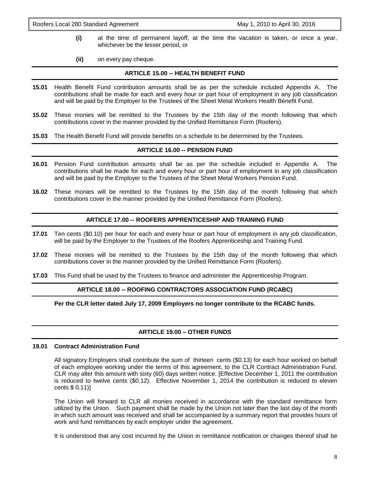- **(i)** at the time of permanent layoff, at the time the vacation is taken, or once a year, whichever be the lesser period, or
- **(ii)** on every pay cheque.

#### **ARTICLE 15.00 -- HEALTH BENEFIT FUND**

- **15.01** Health Benefit Fund contribution amounts shall be as per the schedule included Appendix A. The contributions shall be made for each and every hour or part hour of employment in any job classification and will be paid by the Employer to the Trustees of the Sheet Metal Workers Health Benefit Fund.
- **15.02** These monies will be remitted to the Trustees by the 15th day of the month following that which contributions cover in the manner provided by the Unified Remittance Form (Roofers).
- **15.03** The Health Benefit Fund will provide benefits on a schedule to be determined by the Trustees.

#### **ARTICLE 16.00 -- PENSION FUND**

- **16.01** Pension Fund contribution amounts shall be as per the schedule included in Appendix A. The contributions shall be made for each and every hour or part hour of employment in any job classification and will be paid by the Employer to the Trustees of the Sheet Metal Workers Pension Fund.
- **16.02** These monies will be remitted to the Trustees by the 15th day of the month following that which contributions cover in the manner provided by the Unified Remittance Form (Roofers).

#### **ARTICLE 17.00 -- ROOFERS APPRENTICESHIP AND TRAINING FUND**

- **17.01** Ten cents (\$0.10) per hour for each and every hour or part hour of employment in any job classification, will be paid by the Employer to the Trustees of the Roofers Apprenticeship and Training Fund.
- **17.02** These monies will be remitted to the Trustees by the 15th day of the month following that which contributions cover in the manner provided by the Unified Remittance Form (Roofers).
- **17.03** This Fund shall be used by the Trustees to finance and administer the Apprenticeship Program.

#### **ARTICLE 18.00 -- ROOFING CONTRACTORS ASSOCIATION FUND (RCABC)**

**Per the CLR letter dated July 17, 2009 Employers no longer contribute to the RCABC funds.**

#### **ARTICLE 19.00 – OTHER FUNDS**

#### **19.01 Contract Administration Fund**

All signatory Employers shall contribute the sum of thirteen cents (\$0.13) for each hour worked on behalf of each employee working under the terms of this agreement, to the CLR Contract Administration Fund. CLR may alter this amount with sixty (60) days written notice. [Effective December 1, 2011 the contribution is reduced to twelve cents (\$0.12). Effective November 1, 2014 the contribution is reduced to eleven cents \$ 0.11)]

The Union will forward to CLR all monies received in accordance with the standard remittance form utilized by the Union. Such payment shall be made by the Union not later than the last day of the month in which such amount was received and shall be accompanied by a summary report that provides hours of work and fund remittances by each employer under the agreement.

It is understood that any cost incurred by the Union in remittance notification or changes thereof shall be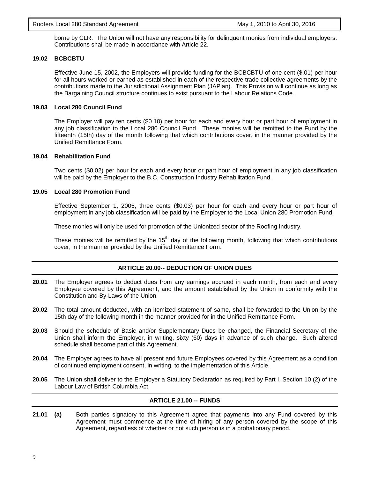borne by CLR. The Union will not have any responsibility for delinquent monies from individual employers. Contributions shall be made in accordance with Article 22.

#### **19.02 BCBCBTU**

Effective June 15, 2002, the Employers will provide funding for the BCBCBTU of one cent (\$.01) per hour for all hours worked or earned as established in each of the respective trade collective agreements by the contributions made to the Jurisdictional Assignment Plan (JAPlan). This Provision will continue as long as the Bargaining Council structure continues to exist pursuant to the Labour Relations Code.

#### **19.03 Local 280 Council Fund**

The Employer will pay ten cents (\$0.10) per hour for each and every hour or part hour of employment in any job classification to the Local 280 Council Fund. These monies will be remitted to the Fund by the fifteenth (15th) day of the month following that which contributions cover, in the manner provided by the Unified Remittance Form.

#### **19.04 Rehabilitation Fund**

Two cents (\$0.02) per hour for each and every hour or part hour of employment in any job classification will be paid by the Employer to the B.C. Construction Industry Rehabilitation Fund.

#### **19.05 Local 280 Promotion Fund**

Effective September 1, 2005, three cents (\$0.03) per hour for each and every hour or part hour of employment in any job classification will be paid by the Employer to the Local Union 280 Promotion Fund.

These monies will only be used for promotion of the Unionized sector of the Roofing Industry.

These monies will be remitted by the 15<sup>th</sup> day of the following month, following that which contributions cover, in the manner provided by the Unified Remittance Form.

#### **ARTICLE 20.00-- DEDUCTION OF UNION DUES**

- **20.01** The Employer agrees to deduct dues from any earnings accrued in each month, from each and every Employee covered by this Agreement, and the amount established by the Union in conformity with the Constitution and By-Laws of the Union.
- **20.02** The total amount deducted, with an itemized statement of same, shall be forwarded to the Union by the 15th day of the following month in the manner provided for in the Unified Remittance Form.
- **20.03** Should the schedule of Basic and/or Supplementary Dues be changed, the Financial Secretary of the Union shall inform the Employer, in writing, sixty (60) days in advance of such change. Such altered schedule shall become part of this Agreement.
- **20.04** The Employer agrees to have all present and future Employees covered by this Agreement as a condition of continued employment consent, in writing, to the implementation of this Article.
- **20.05** The Union shall deliver to the Employer a Statutory Declaration as required by Part I, Section 10 (2) of the Labour Law of British Columbia Act.

#### **ARTICLE 21.00 -- FUNDS**

**21.01 (a)** Both parties signatory to this Agreement agree that payments into any Fund covered by this Agreement must commence at the time of hiring of any person covered by the scope of this Agreement, regardless of whether or not such person is in a probationary period.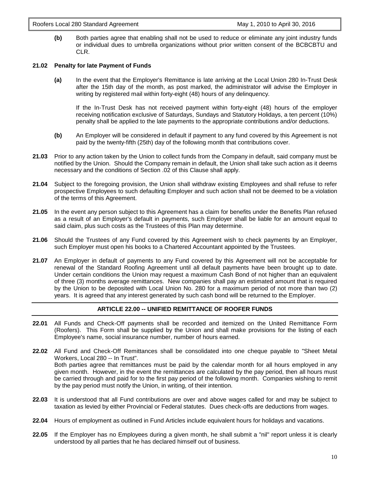**(b)** Both parties agree that enabling shall not be used to reduce or eliminate any joint industry funds or individual dues to umbrella organizations without prior written consent of the BCBCBTU and CLR.

#### **21.02 Penalty for late Payment of Funds**

**(a)** In the event that the Employer's Remittance is late arriving at the Local Union 280 In-Trust Desk after the 15th day of the month, as post marked, the administrator will advise the Employer in writing by registered mail within forty-eight (48) hours of any delinquency.

If the In-Trust Desk has not received payment within forty-eight (48) hours of the employer receiving notification exclusive of Saturdays, Sundays and Statutory Holidays, a ten percent (10%) penalty shall be applied to the late payments to the appropriate contributions and/or deductions.

- **(b)** An Employer will be considered in default if payment to any fund covered by this Agreement is not paid by the twenty-fifth (25th) day of the following month that contributions cover.
- **21.03** Prior to any action taken by the Union to collect funds from the Company in default, said company must be notified by the Union. Should the Company remain in default, the Union shall take such action as it deems necessary and the conditions of Section .02 of this Clause shall apply.
- **21.04** Subject to the foregoing provision, the Union shall withdraw existing Employees and shall refuse to refer prospective Employees to such defaulting Employer and such action shall not be deemed to be a violation of the terms of this Agreement.
- **21.05** In the event any person subject to this Agreement has a claim for benefits under the Benefits Plan refused as a result of an Employer's default in payments, such Employer shall be liable for an amount equal to said claim, plus such costs as the Trustees of this Plan may determine.
- **21.06** Should the Trustees of any Fund covered by this Agreement wish to check payments by an Employer, such Employer must open his books to a Chartered Accountant appointed by the Trustees.
- **21.07** An Employer in default of payments to any Fund covered by this Agreement will not be acceptable for renewal of the Standard Roofing Agreement until all default payments have been brought up to date. Under certain conditions the Union may request a maximum Cash Bond of not higher than an equivalent of three (3) months average remittances. New companies shall pay an estimated amount that is required by the Union to be deposited with Local Union No. 280 for a maximum period of not more than two (2) years. It is agreed that any interest generated by such cash bond will be returned to the Employer.

#### **ARTICLE 22.00 -- UNIFIED REMITTANCE OF ROOFER FUNDS**

- **22.01** All Funds and Check-Off payments shall be recorded and itemized on the United Remittance Form (Roofers). This Form shall be supplied by the Union and shall make provisions for the listing of each Employee's name, social insurance number, number of hours earned.
- **22.02** All Fund and Check-Off Remittances shall be consolidated into one cheque payable to "Sheet Metal Workers, Local 280 -- In Trust". Both parties agree that remittances must be paid by the calendar month for all hours employed in any given month. However, in the event the remittances are calculated by the pay period, then all hours must be carried through and paid for to the first pay period of the following month. Companies wishing to remit by the pay period must notify the Union, in writing, of their intention.
- **22.03** It is understood that all Fund contributions are over and above wages called for and may be subject to taxation as levied by either Provincial or Federal statutes. Dues check-offs are deductions from wages.
- **22.04** Hours of employment as outlined in Fund Articles include equivalent hours for holidays and vacations.
- **22.05** If the Employer has no Employees during a given month, he shall submit a "nil" report unless it is clearly understood by all parties that he has declared himself out of business.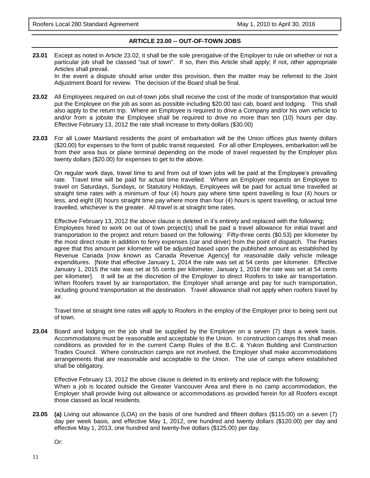#### **ARTICLE 23.00 -- OUT-OF-TOWN JOBS**

**23.01** Except as noted in Article 23.02, it shall be the sole prerogative of the Employer to rule on whether or not a particular job shall be classed "out of town". If so, then this Article shall apply; if not, other appropriate Articles shall prevail.

In the event a dispute should arise under this provision, then the matter may be referred to the Joint Adjustment Board for review. The decision of the Board shall be final.

- **23.02** All Employees required on out-of-town jobs shall receive the cost of the mode of transportation that would put the Employee on the job as soon as possible including \$20.00 taxi cab, board and lodging. This shall also apply to the return trip. Where an Employee is required to drive a Company and/or his own vehicle to and/or from a jobsite the Employee shall be required to drive no more than ten (10) hours per day. Effective February 13, 2012 the rate shall increase to thirty dollars (\$30.00)
- **23.03** For all Lower Mainland residents the point of embarkation will be the Union offices plus twenty dollars (\$20.00) for expenses to the form of public transit requested. For all other Employees, embarkation will be from their area bus or plane terminal depending on the mode of travel requested by the Employer plus twenty dollars (\$20.00) for expenses to get to the above.

On regular work days, travel time to and from out of town jobs will be paid at the Employee's prevailing rate. Travel time will be paid for actual time travelled. Where an Employer requests an Employee to travel on Saturdays, Sundays, or Statutory Holidays, Employees will be paid for actual time travelled at straight time rates with a minimum of four (4) hours pay where time spent travelling is four (4) hours or less, and eight (8) hours straight time pay where more than four (4) hours is spent travelling, or actual time travelled, whichever is the greater. All travel is at straight time rates.

Effective February 13, 2012 the above clause is deleted in it's entirety and replaced with the following; Employees hired to work on out of town project(s) shall be paid a travel allowance for initial travel and transportation to the project and return based on the following: Fifty-three cents (\$0.53) per kilometer by the most direct route in addition to ferry expenses (car and driver) from the point of dispatch. The Parties agree that this amount per kilometer will be adjusted based upon the published amount as established by Revenue Canada [now known as Canada Revenue Agency] for reasonable daily vehicle mileage expenditures. [Note that effective January 1, 2014 the rate was set at 54 cents per kilometer. Effective January 1, 2015 the rate was set at 55 cents per kilometer. January 1, 2016 the rate was set at 54 cents per kilometer]. It will be at the discretion of the Employer to direct Roofers to take air transportation. When Roofers travel by air transportation, the Employer shall arrange and pay for such transportation, including ground transportation at the destination. Travel allowance shall not apply when roofers travel by air.

Travel time at straight time rates will apply to Roofers in the employ of the Employer prior to being sent out of town.

**23.04** Board and lodging on the job shall be supplied by the Employer on a seven (7) days a week basis. Accommodations must be reasonable and acceptable to the Union. In construction camps this shall mean conditions as provided for in the current Camp Rules of the B.C. & Yukon Building and Construction Trades Council. Where construction camps are not involved, the Employer shall make accommodations arrangements that are reasonable and acceptable to the Union. The use of camps where established shall be obligatory.

Effective February 13, 2012 the above clause is deleted in its entirety and replace with the following; When a job is located outside the Greater Vancouver Area and there is no camp accommodation, the Employer shall provide living out allowance or accommodations as provided herein for all Roofers except those classed as local residents.

**23.05 (a)** Living out allowance (LOA) on the basis of one hundred and fifteen dollars (\$115.00) on a seven (7) day per week basis, and effective May 1, 2012, one hundred and twenty dollars (\$120.00) per day and effective May 1, 2013, one hundred and twenty-five dollars (\$125.00) per day.

Or: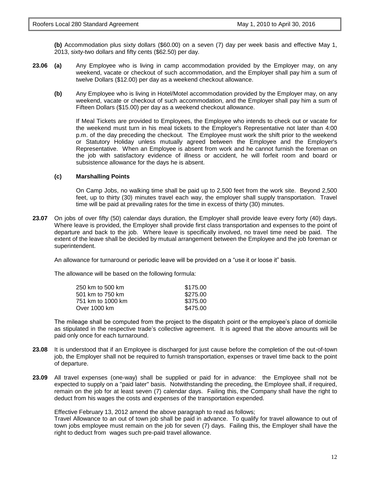**(b)** Accommodation plus sixty dollars (\$60.00) on a seven (7) day per week basis and effective May 1, 2013, sixty-two dollars and fifty cents (\$62.50) per day.

- **23.06 (a)** Any Employee who is living in camp accommodation provided by the Employer may, on any weekend, vacate or checkout of such accommodation, and the Employer shall pay him a sum of twelve Dollars (\$12.00) per day as a weekend checkout allowance.
	- **(b)** Any Employee who is living in Hotel/Motel accommodation provided by the Employer may, on any weekend, vacate or checkout of such accommodation, and the Employer shall pay him a sum of Fifteen Dollars (\$15.00) per day as a weekend checkout allowance.

If Meal Tickets are provided to Employees, the Employee who intends to check out or vacate for the weekend must turn in his meal tickets to the Employer's Representative not later than 4:00 p.m. of the day preceding the checkout. The Employee must work the shift prior to the weekend or Statutory Holiday unless mutually agreed between the Employee and the Employer's Representative. When an Employee is absent from work and he cannot furnish the foreman on the job with satisfactory evidence of illness or accident, he will forfeit room and board or subsistence allowance for the days he is absent.

#### **(c) Marshalling Points**

On Camp Jobs, no walking time shall be paid up to 2,500 feet from the work site. Beyond 2,500 feet, up to thirty (30) minutes travel each way, the employer shall supply transportation. Travel time will be paid at prevailing rates for the time in excess of thirty (30) minutes.

**23.07** On jobs of over fifty (50) calendar days duration, the Employer shall provide leave every forty (40) days. Where leave is provided, the Employer shall provide first class transportation and expenses to the point of departure and back to the job. Where leave is specifically involved, no travel time need be paid. The extent of the leave shall be decided by mutual arrangement between the Employee and the job foreman or superintendent.

An allowance for turnaround or periodic leave will be provided on a "use it or loose it" basis.

The allowance will be based on the following formula:

| 250 km to 500 km  | \$175.00 |
|-------------------|----------|
| 501 km to 750 km  | \$275.00 |
| 751 km to 1000 km | \$375.00 |
| Over 1000 km      | \$475.00 |

The mileage shall be computed from the project to the dispatch point or the employee's place of domicile as stipulated in the respective trade's collective agreement. It is agreed that the above amounts will be paid only once for each turnaround.

- **23.08** It is understood that if an Employee is discharged for just cause before the completion of the out-of-town job, the Employer shall not be required to furnish transportation, expenses or travel time back to the point of departure.
- **23.09** All travel expenses (one-way) shall be supplied or paid for in advance: the Employee shall not be expected to supply on a "paid later" basis. Notwithstanding the preceding, the Employee shall, if required, remain on the job for at least seven (7) calendar days. Failing this, the Company shall have the right to deduct from his wages the costs and expenses of the transportation expended.

Effective February 13, 2012 amend the above paragraph to read as follows;

Travel Allowance to an out of town job shall be paid in advance. To qualify for travel allowance to out of town jobs employee must remain on the job for seven (7) days. Failing this, the Employer shall have the right to deduct from wages such pre-paid travel allowance.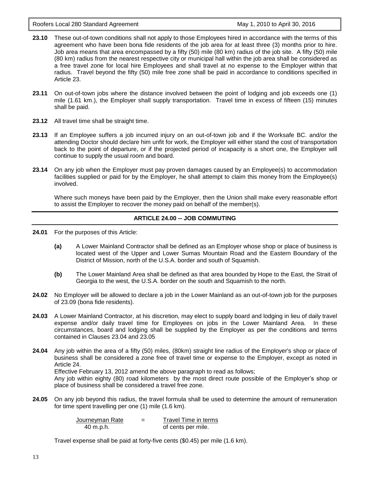Roofers Local 280 Standard Agreement May 1, 2010 to April 30, 2016

- **23.10** These out-of-town conditions shall not apply to those Employees hired in accordance with the terms of this agreement who have been bona fide residents of the job area for at least three (3) months prior to hire. Job area means that area encompassed by a fifty (50) mile (80 km) radius of the job site. A fifty (50) mile (80 km) radius from the nearest respective city or municipal hall within the job area shall be considered as a free travel zone for local hire Employees and shall travel at no expense to the Employer within that radius. Travel beyond the fifty (50) mile free zone shall be paid in accordance to conditions specified in Article 23.
- **23.11** On out-of-town jobs where the distance involved between the point of lodging and job exceeds one (1) mile (1.61 km.), the Employer shall supply transportation. Travel time in excess of fifteen (15) minutes shall be paid.
- **23.12** All travel time shall be straight time.
- **23.13** If an Employee suffers a job incurred injury on an out-of-town job and if the Worksafe BC. and/or the attending Doctor should declare him unfit for work, the Employer will either stand the cost of transportation back to the point of departure, or if the projected period of incapacity is a short one, the Employer will continue to supply the usual room and board.
- **23.14** On any job when the Employer must pay proven damages caused by an Employee(s) to accommodation facilities supplied or paid for by the Employer, he shall attempt to claim this money from the Employee(s) involved.

Where such moneys have been paid by the Employer, then the Union shall make every reasonable effort to assist the Employer to recover the money paid on behalf of the member(s).

#### **ARTICLE 24.00 -- JOB COMMUTING**

- **24.01** For the purposes of this Article:
	- **(a)** A Lower Mainland Contractor shall be defined as an Employer whose shop or place of business is located west of the Upper and Lower Sumas Mountain Road and the Eastern Boundary of the District of Mission, north of the U.S.A. border and south of Squamish.
	- **(b)** The Lower Mainland Area shall be defined as that area bounded by Hope to the East, the Strait of Georgia to the west, the U.S.A. border on the south and Squamish to the north.
- **24.02** No Employer will be allowed to declare a job in the Lower Mainland as an out-of-town job for the purposes of 23.09 (bona fide residents).
- **24.03** A Lower Mainland Contractor, at his discretion, may elect to supply board and lodging in lieu of daily travel expense and/or daily travel time for Employees on jobs in the Lower Mainland Area. In these circumstances, board and lodging shall be supplied by the Employer as per the conditions and terms contained in Clauses 23.04 and 23.05
- **24.04** Any job within the area of a fifty (50) miles, (80km) straight line radius of the Employer's shop or place of business shall be considered a zone free of travel time or expense to the Employer, except as noted in Article 24. Effective February 13, 2012 amend the above paragraph to read as follows; Any job within eighty (80) road kilometers by the most direct route possible of the Employer's shop or place of business shall be considered a travel free zone.
- **24.05** On any job beyond this radius, the travel formula shall be used to determine the amount of remuneration for time spent travelling per one (1) mile (1.6 km).

| Journeyman Rate | $=$ | Travel Time in terms |
|-----------------|-----|----------------------|
| 40 m.p.h.       |     | of cents per mile.   |

Travel expense shall be paid at forty-five cents (\$0.45) per mile (1.6 km).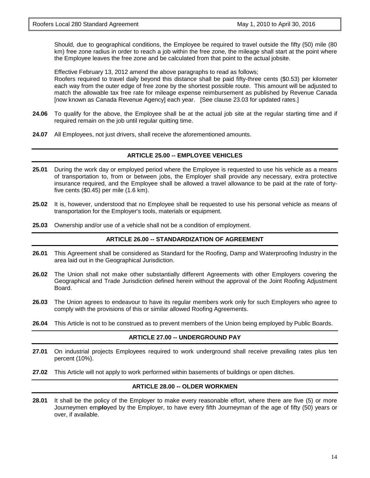Should, due to geographical conditions, the Employee be required to travel outside the fifty (50) mile (80 km) free zone radius in order to reach a job within the free zone, the mileage shall start at the point where the Employee leaves the free zone and be calculated from that point to the actual jobsite.

Effective February 13, 2012 amend the above paragraphs to read as follows; Roofers required to travel daily beyond this distance shall be paid fifty-three cents (\$0.53) per kilometer each way from the outer edge of free zone by the shortest possible route. This amount will be adjusted to match the allowable tax free rate for mileage expense reimbursement as published by Revenue Canada [now known as Canada Revenue Agency] each year. [See clause 23.03 for updated rates.]

- **24.06** To qualify for the above, the Employee shall be at the actual job site at the regular starting time and if required remain on the job until regular quitting time.
- **24.07** All Employees, not just drivers, shall receive the aforementioned amounts.

#### **ARTICLE 25.00 -- EMPLOYEE VEHICLES**

- **25.01** During the work day or employed period where the Employee is requested to use his vehicle as a means of transportation to, from or between jobs, the Employer shall provide any necessary, extra protective insurance required, and the Employee shall be allowed a travel allowance to be paid at the rate of fortyfive cents (\$0.45) per mile (1.6 km).
- **25.02** It is, however, understood that no Employee shall be requested to use his personal vehicle as means of transportation for the Employer's tools, materials or equipment.
- **25.03** Ownership and/or use of a vehicle shall not be a condition of employment.

#### **ARTICLE 26.00 -- STANDARDIZATION OF AGREEMENT**

- **26.01** This Agreement shall be considered as Standard for the Roofing, Damp and Waterproofing Industry in the area laid out in the Geographical Jurisdiction.
- **26.02** The Union shall not make other substantially different Agreements with other Employers covering the Geographical and Trade Jurisdiction defined herein without the approval of the Joint Roofing Adjustment Board.
- **26.03** The Union agrees to endeavour to have its regular members work only for such Employers who agree to comply with the provisions of this or similar allowed Roofing Agreements.
- **26.04** This Article is not to be construed as to prevent members of the Union being employed by Public Boards.

#### **ARTICLE 27.00 -- UNDERGROUND PAY**

- **27.01** On industrial projects Employees required to work underground shall receive prevailing rates plus ten percent (10%).
- **27.02** This Article will not apply to work performed within basements of buildings or open ditches.

#### **ARTICLE 28.00 -- OLDER WORKMEN**

**28.01** It shall be the policy of the Employer to make every reasonable effort, where there are five (5) or more Journeymen em**plo**yed by the Employer, to have every fifth Journeyman of the age of fifty (50) years or over, if available.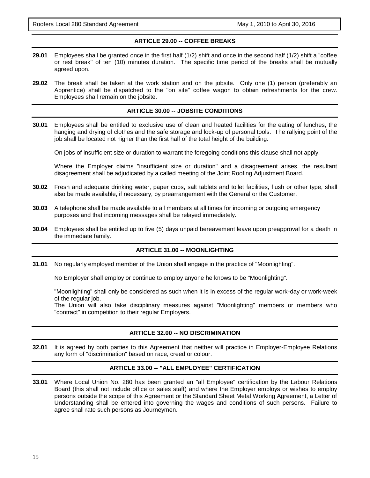Roofers Local 280 Standard Agreement May 1, 2010 to April 30, 2016

#### **ARTICLE 29.00 -- COFFEE BREAKS**

- **29.01** Employees shall be granted once in the first half (1/2) shift and once in the second half (1/2) shift a "coffee or rest break" of ten (10) minutes duration. The specific time period of the breaks shall be mutually agreed upon.
- **29.02** The break shall be taken at the work station and on the jobsite. Only one (1) person (preferably an Apprentice) shall be dispatched to the "on site" coffee wagon to obtain refreshments for the crew. Employees shall remain on the jobsite.

#### **ARTICLE 30.00 -- JOBSITE CONDITIONS**

**30.01** Employees shall be entitled to exclusive use of clean and heated facilities for the eating of lunches, the hanging and drying of clothes and the safe storage and lock-up of personal tools. The rallying point of the job shall be located not higher than the first half of the total height of the building.

On jobs of insufficient size or duration to warrant the foregoing conditions this clause shall not apply.

Where the Employer claims "insufficient size or duration" and a disagreement arises, the resultant disagreement shall be adjudicated by a called meeting of the Joint Roofing Adjustment Board.

- **30.02** Fresh and adequate drinking water, paper cups, salt tablets and toilet facilities, flush or other type, shall also be made available, if necessary, by prearrangement with the General or the Customer.
- **30.03** A telephone shall be made available to all members at all times for incoming or outgoing emergency purposes and that incoming messages shall be relayed immediately.
- **30.04** Employees shall be entitled up to five (5) days unpaid bereavement leave upon preapproval for a death in the immediate family.

#### **ARTICLE 31.00 -- MOONLIGHTING**

**31.01** No regularly employed member of the Union shall engage in the practice of "Moonlighting".

No Employer shall employ or continue to employ anyone he knows to be "Moonlighting".

"Moonlighting" shall only be considered as such when it is in excess of the regular work-day or work-week of the regular job.

The Union will also take disciplinary measures against "Moonlighting" members or members who "contract" in competition to their regular Employers.

#### **ARTICLE 32.00 -- NO DISCRIMINATION**

**32.01** It is agreed by both parties to this Agreement that neither will practice in Employer-Employee Relations any form of "discrimination" based on race, creed or colour.

#### **ARTICLE 33.00 -- "ALL EMPLOYEE" CERTIFICATION**

**33.01** Where Local Union No. 280 has been granted an "all Employee" certification by the Labour Relations Board (this shall not include office or sales staff) and where the Employer employs or wishes to employ persons outside the scope of this Agreement or the Standard Sheet Metal Working Agreement, a Letter of Understanding shall be entered into governing the wages and conditions of such persons. Failure to agree shall rate such persons as Journeymen.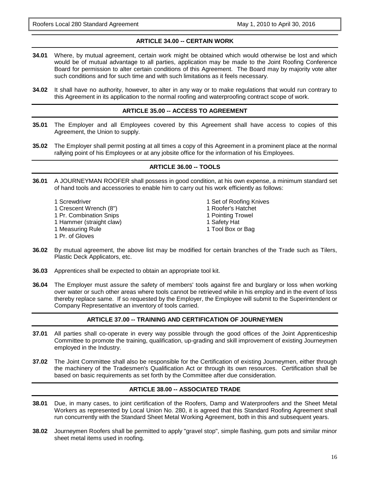#### **ARTICLE 34.00 -- CERTAIN WORK**

- **34.01** Where, by mutual agreement, certain work might be obtained which would otherwise be lost and which would be of mutual advantage to all parties, application may be made to the Joint Roofing Conference Board for permission to alter certain conditions of this Agreement. The Board may by majority vote alter such conditions and for such time and with such limitations as it feels necessary.
- **34.02** It shall have no authority, however, to alter in any way or to make regulations that would run contrary to this Agreement in its application to the normal roofing and waterproofing contract scope of work.

#### **ARTICLE 35.00 -- ACCESS TO AGREEMENT**

- **35.01** The Employer and all Employees covered by this Agreement shall have access to copies of this Agreement, the Union to supply.
- **35.02** The Employer shall permit posting at all times a copy of this Agreement in a prominent place at the normal rallying point of his Employees or at any jobsite office for the information of his Employees.

#### **ARTICLE 36.00 -- TOOLS**

- **36.01** A JOURNEYMAN ROOFER shall possess in good condition, at his own expense, a minimum standard set of hand tools and accessories to enable him to carry out his work efficiently as follows:
	- 1 Screwdriver 1 November 2 Set of Roofing Knives 1 Crescent Wrench (8") 1 Roofer's Hatchet 1 Pr. Combination Snips 1 Pointing Trowel 1 Hammer (straight claw) 1 Safety Hat 1 Measuring Rule 1 November 2012 1 Tool Box or Bag 1 Pr. of Gloves
		-
- **36.02** By mutual agreement, the above list may be modified for certain branches of the Trade such as Tilers, Plastic Deck Applicators, etc.
- **36.03** Apprentices shall be expected to obtain an appropriate tool kit.
- **36.04** The Employer must assure the safety of members' tools against fire and burglary or loss when working over water or such other areas where tools cannot be retrieved while in his employ and in the event of loss thereby replace same. If so requested by the Employer, the Employee will submit to the Superintendent or Company Representative an inventory of tools carried.

#### **ARTICLE 37.00 -- TRAINING AND CERTIFICATION OF JOURNEYMEN**

- **37.01** All parties shall co-operate in every way possible through the good offices of the Joint Apprenticeship Committee to promote the training, qualification, up-grading and skill improvement of existing Journeymen employed in the Industry.
- **37.02** The Joint Committee shall also be responsible for the Certification of existing Journeymen, either through the machinery of the Tradesmen's Qualification Act or through its own resources. Certification shall be based on basic requirements as set forth by the Committee after due consideration.

#### **ARTICLE 38.00 -- ASSOCIATED TRADE**

- **38.01** Due, in many cases, to joint certification of the Roofers, Damp and Waterproofers and the Sheet Metal Workers as represented by Local Union No. 280, it is agreed that this Standard Roofing Agreement shall run concurrently with the Standard Sheet Metal Working Agreement, both in this and subsequent years.
- **38.02** Journeymen Roofers shall be permitted to apply "gravel stop", simple flashing, gum pots and similar minor sheet metal items used in roofing.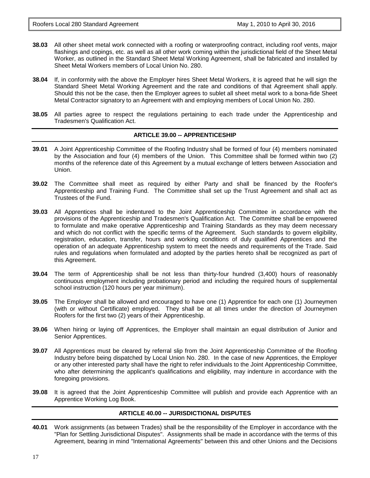- **38.03** All other sheet metal work connected with a roofing or waterproofing contract, including roof vents, major flashings and copings, etc. as well as all other work coming within the jurisdictional field of the Sheet Metal Worker, as outlined in the Standard Sheet Metal Working Agreement, shall be fabricated and installed by Sheet Metal Workers members of Local Union No. 280.
- **38.04** If, in conformity with the above the Employer hires Sheet Metal Workers, it is agreed that he will sign the Standard Sheet Metal Working Agreement and the rate and conditions of that Agreement shall apply. Should this not be the case, then the Employer agrees to sublet all sheet metal work to a bona-fide Sheet Metal Contractor signatory to an Agreement with and employing members of Local Union No. 280.
- **38.05** All parties agree to respect the regulations pertaining to each trade under the Apprenticeship and Tradesmen's Qualification Act.

#### **ARTICLE 39.00 -- APPRENTICESHIP**

- **39.01** A Joint Apprenticeship Committee of the Roofing Industry shall be formed of four (4) members nominated by the Association and four (4) members of the Union. This Committee shall be formed within two (2) months of the reference date of this Agreement by a mutual exchange of letters between Association and Union.
- **39.02** The Committee shall meet as required by either Party and shall be financed by the Roofer's Apprenticeship and Training Fund. The Committee shall set up the Trust Agreement and shall act as Trustees of the Fund.
- **39.03** All Apprentices shall be indentured to the Joint Apprenticeship Committee in accordance with the provisions of the Apprenticeship and Tradesmen's Qualification Act. The Committee shall be empowered to formulate and make operative Apprenticeship and Training Standards as they may deem necessary and which do not conflict with the specific terms of the Agreement. Such standards to govern eligibility, registration, education, transfer, hours and working conditions of duly qualified Apprentices and the operation of an adequate Apprenticeship system to meet the needs and requirements of the Trade. Said rules and regulations when formulated and adopted by the parties hereto shall be recognized as part of this Agreement.
- **39.04** The term of Apprenticeship shall be not less than thirty-four hundred (3,400) hours of reasonably continuous employment including probationary period and including the required hours of supplemental school instruction (120 hours per year minimum).
- **39.05** The Employer shall be allowed and encouraged to have one (1) Apprentice for each one (1) Journeymen (with or without Certificate) employed. They shall be at all times under the direction of Journeymen Roofers for the first two (2) years of their Apprenticeship.
- **39.06** When hiring or laying off Apprentices, the Employer shall maintain an equal distribution of Junior and Senior Apprentices.
- **39.07** All Apprentices must be cleared by referral slip from the Joint Apprenticeship Committee of the Roofing Industry before being dispatched by Local Union No. 280. In the case of new Apprentices, the Employer or any other interested party shall have the right to refer individuals to the Joint Apprenticeship Committee, who after determining the applicant's qualifications and eligibility, may indenture in accordance with the foregoing provisions.
- **39.08** It is agreed that the Joint Apprenticeship Committee will publish and provide each Apprentice with an Apprentice Working Log Book.

#### **ARTICLE 40.00 -- JURISDICTIONAL DISPUTES**

**40.01** Work assignments (as between Trades) shall be the responsibility of the Employer in accordance with the "Plan for Settling Jurisdictional Disputes". Assignments shall be made in accordance with the terms of this Agreement, bearing in mind "International Agreements" between this and other Unions and the Decisions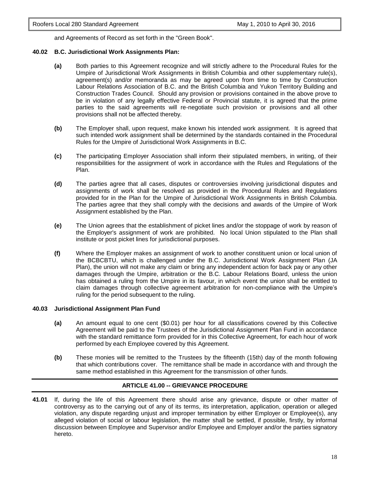and Agreements of Record as set forth in the "Green Book".

#### **40.02 B.C. Jurisdictional Work Assignments Plan:**

- **(a)** Both parties to this Agreement recognize and will strictly adhere to the Procedural Rules for the Umpire of Jurisdictional Work Assignments in British Columbia and other supplementary rule(s), agreement(s) and/or memoranda as may be agreed upon from time to time by Construction Labour Relations Association of B.C. and the British Columbia and Yukon Territory Building and Construction Trades Council. Should any provision or provisions contained in the above prove to be in violation of any legally effective Federal or Provincial statute, it is agreed that the prime parties to the said agreements will re-negotiate such provision or provisions and all other provisions shall not be affected thereby.
- **(b)** The Employer shall, upon request, make known his intended work assignment. It is agreed that such intended work assignment shall be determined by the standards contained in the Procedural Rules for the Umpire of Jurisdictional Work Assignments in B.C.
- **(c)** The participating Employer Association shall inform their stipulated members, in writing, of their responsibilities for the assignment of work in accordance with the Rules and Regulations of the Plan.
- **(d)** The parties agree that all cases, disputes or controversies involving jurisdictional disputes and assignments of work shall be resolved as provided in the Procedural Rules and Regulations provided for in the Plan for the Umpire of Jurisdictional Work Assignments in British Columbia. The parties agree that they shall comply with the decisions and awards of the Umpire of Work Assignment established by the Plan.
- **(e)** The Union agrees that the establishment of picket lines and/or the stoppage of work by reason of the Employer's assignment of work are prohibited. No local Union stipulated to the Plan shall institute or post picket lines for jurisdictional purposes.
- **(f)** Where the Employer makes an assignment of work to another constituent union or local union of the BCBCBTU, which is challenged under the B.C. Jurisdictional Work Assignment Plan (JA Plan), the union will not make any claim or bring any independent action for back pay or any other damages through the Umpire, arbitration or the B.C. Labour Relations Board, unless the union has obtained a ruling from the Umpire in its favour, in which event the union shall be entitled to claim damages through collective agreement arbitration for non-compliance with the Umpire's ruling for the period subsequent to the ruling.

#### **40.03 Jurisdictional Assignment Plan Fund**

- **(a)** An amount equal to one cent (\$0.01) per hour for all classifications covered by this Collective Agreement will be paid to the Trustees of the Jurisdictional Assignment Plan Fund in accordance with the standard remittance form provided for in this Collective Agreement, for each hour of work performed by each Employee covered by this Agreement.
- **(b)** These monies will be remitted to the Trustees by the fifteenth (15th) day of the month following that which contributions cover. The remittance shall be made in accordance with and through the same method established in this Agreement for the transmission of other funds.

#### **ARTICLE 41.00 -- GRIEVANCE PROCEDURE**

**41.01** If, during the life of this Agreement there should arise any grievance, dispute or other matter of controversy as to the carrying out of any of its terms, its interpretation, application, operation or alleged violation, any dispute regarding unjust and improper termination by either Employer or Employee(s), any alleged violation of social or labour legislation, the matter shall be settled, if possible, firstly, by informal discussion between Employee and Supervisor and/or Employee and Employer and/or the parties signatory hereto.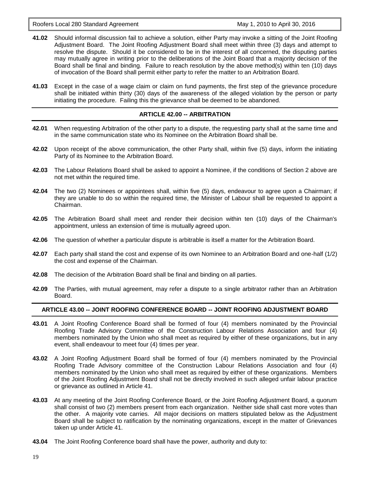Roofers Local 280 Standard Agreement May 1, 2010 to April 30, 2016

- **41.02** Should informal discussion fail to achieve a solution, either Party may invoke a sitting of the Joint Roofing Adjustment Board. The Joint Roofing Adjustment Board shall meet within three (3) days and attempt to resolve the dispute. Should it be considered to be in the interest of all concerned, the disputing parties may mutually agree in writing prior to the deliberations of the Joint Board that a majority decision of the Board shall be final and binding. Failure to reach resolution by the above method(s) within ten (10) days of invocation of the Board shall permit either party to refer the matter to an Arbitration Board.
- **41.03** Except in the case of a wage claim or claim on fund payments, the first step of the grievance procedure shall be initiated within thirty (30) days of the awareness of the alleged violation by the person or party initiating the procedure. Failing this the grievance shall be deemed to be abandoned.

#### **ARTICLE 42.00 -- ARBITRATION**

- **42.01** When requesting Arbitration of the other party to a dispute, the requesting party shall at the same time and in the same communication state who its Nominee on the Arbitration Board shall be.
- **42.02** Upon receipt of the above communication, the other Party shall, within five (5) days, inform the initiating Party of its Nominee to the Arbitration Board.
- **42.03** The Labour Relations Board shall be asked to appoint a Nominee, if the conditions of Section 2 above are not met within the required time.
- **42.04** The two (2) Nominees or appointees shall, within five (5) days, endeavour to agree upon a Chairman; if they are unable to do so within the required time, the Minister of Labour shall be requested to appoint a Chairman.
- **42.05** The Arbitration Board shall meet and render their decision within ten (10) days of the Chairman's appointment, unless an extension of time is mutually agreed upon.
- **42.06** The question of whether a particular dispute is arbitrable is itself a matter for the Arbitration Board.
- **42.07** Each party shall stand the cost and expense of its own Nominee to an Arbitration Board and one-half (1/2) the cost and expense of the Chairman.
- **42.08** The decision of the Arbitration Board shall be final and binding on all parties.
- **42.09** The Parties, with mutual agreement, may refer a dispute to a single arbitrator rather than an Arbitration Board.

#### **ARTICLE 43.00 -- JOINT ROOFING CONFERENCE BOARD -- JOINT ROOFING ADJUSTMENT BOARD**

- **43.01** A Joint Roofing Conference Board shall be formed of four (4) members nominated by the Provincial Roofing Trade Advisory Committee of the Construction Labour Relations Association and four (4) members nominated by the Union who shall meet as required by either of these organizations, but in any event, shall endeavour to meet four (4) times per year.
- **43.02** A Joint Roofing Adjustment Board shall be formed of four (4) members nominated by the Provincial Roofing Trade Advisory committee of the Construction Labour Relations Association and four (4) members nominated by the Union who shall meet as required by either of these organizations. Members of the Joint Roofing Adjustment Board shall not be directly involved in such alleged unfair labour practice or grievance as outlined in Article 41.
- **43.03** At any meeting of the Joint Roofing Conference Board, or the Joint Roofing Adjustment Board, a quorum shall consist of two (2) members present from each organization. Neither side shall cast more votes than the other. A majority vote carries. All major decisions on matters stipulated below as the Adjustment Board shall be subject to ratification by the nominating organizations, except in the matter of Grievances taken up under Article 41.
- **43.04** The Joint Roofing Conference board shall have the power, authority and duty to: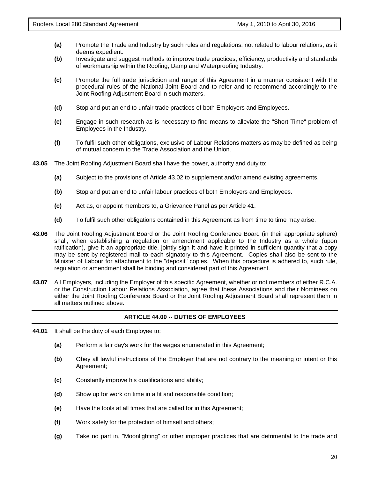- **(a)** Promote the Trade and Industry by such rules and regulations, not related to labour relations, as it deems expedient.
- **(b)** Investigate and suggest methods to improve trade practices, efficiency, productivity and standards of workmanship within the Roofing, Damp and Waterproofing Industry.
- **(c)** Promote the full trade jurisdiction and range of this Agreement in a manner consistent with the procedural rules of the National Joint Board and to refer and to recommend accordingly to the Joint Roofing Adjustment Board in such matters.
- **(d)** Stop and put an end to unfair trade practices of both Employers and Employees.
- **(e)** Engage in such research as is necessary to find means to alleviate the "Short Time" problem of Employees in the Industry.
- **(f)** To fulfil such other obligations, exclusive of Labour Relations matters as may be defined as being of mutual concern to the Trade Association and the Union.
- **43.05** The Joint Roofing Adjustment Board shall have the power, authority and duty to:
	- **(a)** Subject to the provisions of Article 43.02 to supplement and/or amend existing agreements.
	- **(b)** Stop and put an end to unfair labour practices of both Employers and Employees.
	- **(c)** Act as, or appoint members to, a Grievance Panel as per Article 41.
	- **(d)** To fulfil such other obligations contained in this Agreement as from time to time may arise.
- **43.06** The Joint Roofing Adjustment Board or the Joint Roofing Conference Board (in their appropriate sphere) shall, when establishing a regulation or amendment applicable to the Industry as a whole (upon ratification), give it an appropriate title, jointly sign it and have it printed in sufficient quantity that a copy may be sent by registered mail to each signatory to this Agreement. Copies shall also be sent to the Minister of Labour for attachment to the "deposit" copies. When this procedure is adhered to, such rule, regulation or amendment shall be binding and considered part of this Agreement.
- **43.07** All Employers, including the Employer of this specific Agreement, whether or not members of either R.C.A. or the Construction Labour Relations Association, agree that these Associations and their Nominees on either the Joint Roofing Conference Board or the Joint Roofing Adjustment Board shall represent them in all matters outlined above.

#### **ARTICLE 44.00 -- DUTIES OF EMPLOYEES**

- **44.01** It shall be the duty of each Employee to:
	- **(a)** Perform a fair day's work for the wages enumerated in this Agreement;
	- **(b)** Obey all lawful instructions of the Employer that are not contrary to the meaning or intent or this Agreement;
	- **(c)** Constantly improve his qualifications and ability;
	- **(d)** Show up for work on time in a fit and responsible condition;
	- **(e)** Have the tools at all times that are called for in this Agreement;
	- **(f)** Work safely for the protection of himself and others;
	- **(g)** Take no part in, "Moonlighting" or other improper practices that are detrimental to the trade and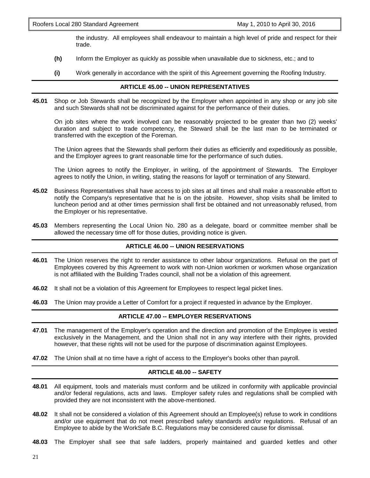the industry. All employees shall endeavour to maintain a high level of pride and respect for their trade.

- **(h)** Inform the Employer as quickly as possible when unavailable due to sickness, etc.; and to
- **(i)** Work generally in accordance with the spirit of this Agreement governing the Roofing Industry.

#### **ARTICLE 45.00 -- UNION REPRESENTATIVES**

**45.01** Shop or Job Stewards shall be recognized by the Employer when appointed in any shop or any job site and such Stewards shall not be discriminated against for the performance of their duties.

On job sites where the work involved can be reasonably projected to be greater than two (2) weeks' duration and subject to trade competency, the Steward shall be the last man to be terminated or transferred with the exception of the Foreman.

The Union agrees that the Stewards shall perform their duties as efficiently and expeditiously as possible, and the Employer agrees to grant reasonable time for the performance of such duties.

The Union agrees to notify the Employer, in writing, of the appointment of Stewards. The Employer agrees to notify the Union, in writing, stating the reasons for layoff or termination of any Steward.

- **45.02** Business Representatives shall have access to job sites at all times and shall make a reasonable effort to notify the Company's representative that he is on the jobsite. However, shop visits shall be limited to luncheon period and at other times permission shall first be obtained and not unreasonably refused, from the Employer or his representative.
- **45.03** Members representing the Local Union No. 280 as a delegate, board or committee member shall be allowed the necessary time off for those duties, providing notice is given.

#### **ARTICLE 46.00 -- UNION RESERVATIONS**

- **46.01** The Union reserves the right to render assistance to other labour organizations. Refusal on the part of Employees covered by this Agreement to work with non-Union workmen or workmen whose organization is not affiliated with the Building Trades council, shall not be a violation of this agreement.
- **46.02** It shall not be a violation of this Agreement for Employees to respect legal picket lines.
- **46.03** The Union may provide a Letter of Comfort for a project if requested in advance by the Employer.

#### **ARTICLE 47.00 -- EMPLOYER RESERVATIONS**

- **47.01** The management of the Employer's operation and the direction and promotion of the Employee is vested exclusively in the Management, and the Union shall not in any way interfere with their rights, provided however, that these rights will not be used for the purpose of discrimination against Employees.
- **47.02** The Union shall at no time have a right of access to the Employer's books other than payroll.

#### **ARTICLE 48.00 -- SAFETY**

- **48.01** All equipment, tools and materials must conform and be utilized in conformity with applicable provincial and/or federal regulations, acts and laws. Employer safety rules and regulations shall be complied with provided they are not inconsistent with the above-mentioned.
- **48.02** It shall not be considered a violation of this Agreement should an Employee(s) refuse to work in conditions and/or use equipment that do not meet prescribed safety standards and/or regulations. Refusal of an Employee to abide by the WorkSafe B.C. Regulations may be considered cause for dismissal.
- **48.03** The Employer shall see that safe ladders, properly maintained and guarded kettles and other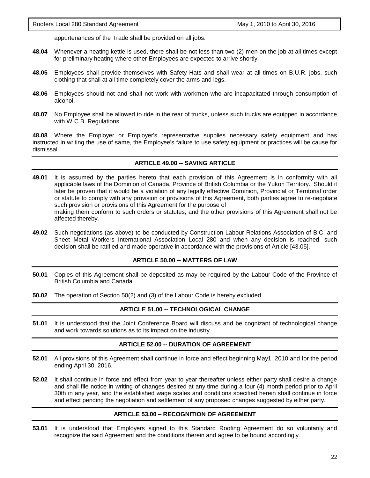appurtenances of the Trade shall be provided on all jobs.

- **48.04** Whenever a heating kettle is used, there shall be not less than two (2) men on the job at all times except for preliminary heating where other Employees are expected to arrive shortly.
- **48.05** Employees shall provide themselves with Safety Hats and shall wear at all times on B.U.R. jobs, such clothing that shall at all time completely cover the arms and legs.
- **48.06** Employees should not and shall not work with workmen who are incapacitated through consumption of alcohol.
- **48.07** No Employee shall be allowed to ride in the rear of trucks, unless such trucks are equipped in accordance with W.C.B. Regulations.

**48.08** Where the Employer or Employer's representative supplies necessary safety equipment and has instructed in writing the use of same, the Employee's failure to use safety equipment or practices will be cause for dismissal.

#### **ARTICLE 49.00 -- SAVING ARTICLE**

**49.01** It is assumed by the parties hereto that each provision of this Agreement is in conformity with all applicable laws of the Dominion of Canada, Province of British Columbia or the Yukon Territory. Should it later be proven that it would be a violation of any legally effective Dominion, Provincial or Territorial order or statute to comply with any provision or provisions of this Agreement, both parties agree to re-negotiate such provision or provisions of this Agreement for the purpose of making them conform to such orders or statutes, and the other provisions of this Agreement shall not be

affected thereby.

**49.02** Such negotiations (as above) to be conducted by Construction Labour Relations Association of B.C. and Sheet Metal Workers International Association Local 280 and when any decision is reached, such decision shall be ratified and made operative in accordance with the provisions of Article [43.05].

#### **ARTICLE 50.00 -- MATTERS OF LAW**

- **50.01** Copies of this Agreement shall be deposited as may be required by the Labour Code of the Province of British Columbia and Canada.
- **50.02** The operation of Section 50(2) and (3) of the Labour Code is hereby excluded.

#### **ARTICLE 51.00 -- TECHNOLOGICAL CHANGE**

**51.01** It is understood that the Joint Conference Board will discuss and be cognizant of technological change and work towards solutions as to its impact on the industry.

#### **ARTICLE 52.00 -- DURATION OF AGREEMENT**

- **52.01** All provisions of this Agreement shall continue in force and effect beginning May1. 2010 and for the period ending April 30, 2016.
- **52.02** It shall continue in force and effect from year to year thereafter unless either party shall desire a change and shall file notice in writing of changes desired at any time during a four (4) month period prior to April 30th in any year, and the established wage scales and conditions specified herein shall continue in force and effect pending the negotiation and settlement of any proposed changes suggested by either party.

#### **ARTICLE 53.00 – RECOGNITION OF AGREEMENT**

**53.01** It is understood that Employers signed to this Standard Roofing Agreement do so voluntarily and recognize the said Agreement and the conditions therein and agree to be bound accordingly.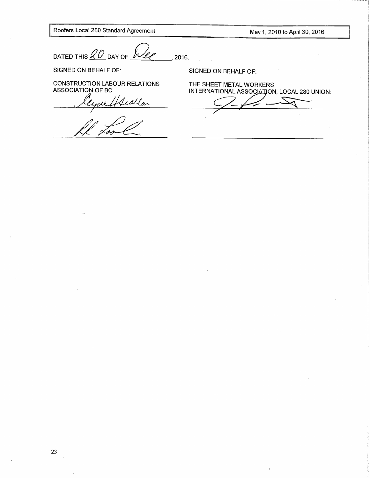Roofers Local 280 Standard Agreement

May 1, 2010 to April 30, 2016

DATED THIS  $\mathcal{Q}O$  DAY OF  $\mu$ 2016.

SIGNED ON BEHALF OF:

CONSTRUCTION LABOUR RELATIONS<br>ASSOCIATION OF BC

ralfleatlar

SIGNED ON BEHALF OF:

THE SHEET METAL WORKERS INTERNATIONAL ASSOCIATION, LOCAL 280 UNION: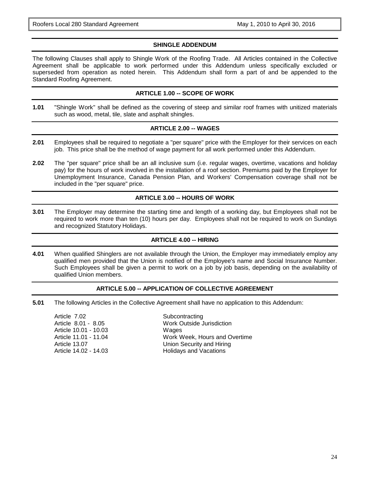#### **SHINGLE ADDENDUM**

The following Clauses shall apply to Shingle Work of the Roofing Trade. All Articles contained in the Collective Agreement shall be applicable to work performed under this Addendum unless specifically excluded or superseded from operation as noted herein. This Addendum shall form a part of and be appended to the Standard Roofing Agreement.

#### **ARTICLE 1.00 -- SCOPE OF WORK**

**1.01** "Shingle Work" shall be defined as the covering of steep and similar roof frames with unitized materials such as wood, metal, tile, slate and asphalt shingles.

#### **ARTICLE 2.00 -- WAGES**

- **2.01** Employees shall be required to negotiate a "per square" price with the Employer for their services on each job. This price shall be the method of wage payment for all work performed under this Addendum.
- **2.02** The "per square" price shall be an all inclusive sum (i.e. regular wages, overtime, vacations and holiday pay) for the hours of work involved in the installation of a roof section. Premiums paid by the Employer for Unemployment Insurance, Canada Pension Plan, and Workers' Compensation coverage shall not be included in the "per square" price.

#### **ARTICLE 3.00 -- HOURS OF WORK**

**3.01** The Employer may determine the starting time and length of a working day, but Employees shall not be required to work more than ten (10) hours per day. Employees shall not be required to work on Sundays and recognized Statutory Holidays.

#### **ARTICLE 4.00 -- HIRING**

**4.01** When qualified Shinglers are not available through the Union, the Employer may immediately employ any qualified men provided that the Union is notified of the Employee's name and Social Insurance Number. Such Employees shall be given a permit to work on a job by job basis, depending on the availability of qualified Union members.

#### **ARTICLE 5.00 -- APPLICATION OF COLLECTIVE AGREEMENT**

**5.01** The following Articles in the Collective Agreement shall have no application to this Addendum:

| Article 7.02          | Subcontracting                   |
|-----------------------|----------------------------------|
| Article 8.01 - 8.05   | <b>Work Outside Jurisdiction</b> |
| Article 10.01 - 10.03 | Wages                            |
| Article 11.01 - 11.04 | Work Week, Hours and Overtime    |
| Article 13.07         | Union Security and Hiring        |
| Article 14.02 - 14.03 | <b>Holidays and Vacations</b>    |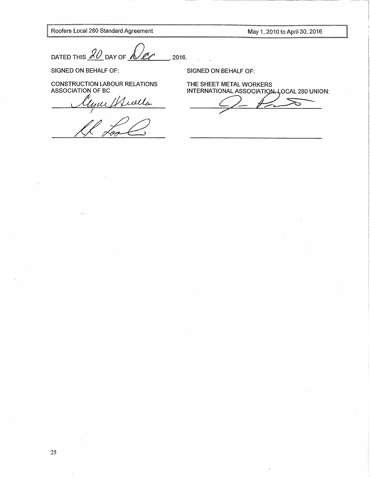Roofers Local 280 Standard Agreement

May 1, 2010 to April 30, 2016

DATED THIS  $\mathcal{A}\mathcal{D}$  DAY OF  $\mathcal{A}$ 2016.

SIGNED ON BEHALF OF:

CONSTRUCTION LABOUR RELATIONS<br>ASSOCIATION OF BC

ur / friella

SIGNED ON BEHALF OF:

THE SHEET METAL WORKERS<br>INTERNATIONAL ASSOCIATION-LOCAL 280 UNION: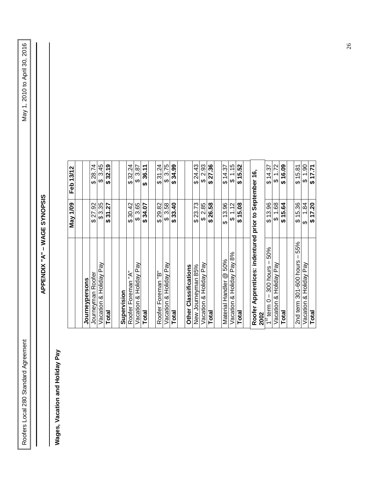| $\overline{\phantom{a}}$                                                                                       |
|----------------------------------------------------------------------------------------------------------------|
| יו טט טעני<br>こうり                                                                                              |
|                                                                                                                |
|                                                                                                                |
| i                                                                                                              |
|                                                                                                                |
| $\frac{1}{2}$                                                                                                  |
|                                                                                                                |
| May 1, 2010 to<br>$\frac{1}{2}$                                                                                |
|                                                                                                                |
|                                                                                                                |
|                                                                                                                |
|                                                                                                                |
|                                                                                                                |
|                                                                                                                |
|                                                                                                                |
|                                                                                                                |
|                                                                                                                |
|                                                                                                                |
|                                                                                                                |
|                                                                                                                |
|                                                                                                                |
|                                                                                                                |
|                                                                                                                |
|                                                                                                                |
|                                                                                                                |
|                                                                                                                |
|                                                                                                                |
|                                                                                                                |
|                                                                                                                |
|                                                                                                                |
|                                                                                                                |
|                                                                                                                |
|                                                                                                                |
|                                                                                                                |
|                                                                                                                |
|                                                                                                                |
|                                                                                                                |
|                                                                                                                |
|                                                                                                                |
|                                                                                                                |
|                                                                                                                |
|                                                                                                                |
|                                                                                                                |
|                                                                                                                |
|                                                                                                                |
|                                                                                                                |
|                                                                                                                |
|                                                                                                                |
|                                                                                                                |
|                                                                                                                |
|                                                                                                                |
|                                                                                                                |
|                                                                                                                |
|                                                                                                                |
|                                                                                                                |
| ׇ֚֬                                                                                                            |
|                                                                                                                |
|                                                                                                                |
| and the state of the state of the state of the state of the state of the state of the state of the state of th |
|                                                                                                                |
|                                                                                                                |
|                                                                                                                |

## APPENDIX "A" - WAGE SYNOPSIS **APPENDIX "A" – WAGE SYNOPSIS**

## Wages, Vacation and Holiday Pay **Wages, Vacation and Holiday Pay**

|                                                   | May 1/09                             | Feb 13/12                                |
|---------------------------------------------------|--------------------------------------|------------------------------------------|
|                                                   |                                      |                                          |
| Journeypersons                                    |                                      |                                          |
| Journeyman Roofer                                 | .92<br>27<br>ക                       | 28.74<br>ക                               |
| Vacation & Holiday Pay                            | \$ 3.35                              | 3.45<br>ക                                |
| Total                                             | 27<br><u>ম</u><br>ക                  | 32.19<br>ക                               |
|                                                   |                                      |                                          |
| Supervision                                       |                                      |                                          |
| Roofer Foreman "A"                                | 30.42<br>ക                           | 32.24<br>ക                               |
| Vacation & Holiday Pay                            | 3.65<br>↔                            | 3.87<br>ക                                |
| Total                                             | 34.07<br>ക                           | 36.11<br>↮                               |
|                                                   |                                      |                                          |
| ٿ<br>آ<br>Roofer Foreman                          | 29.82<br>↔                           | $\overline{2}$<br>$\overline{31}$<br>↮   |
| Vacation & Holiday Pay                            | 3.58<br>ക                            | 3.75<br>↮                                |
| Total                                             | 33.40<br>↮                           | 34.99<br>↮                               |
|                                                   |                                      |                                          |
| Other Classifications                             |                                      |                                          |
| New Journeyman 85%                                | 23.73<br>ക                           | $\frac{3}{2}$<br><u>र्यु</u><br>ക        |
| Vacation & Holiday Pay                            | 2.85<br>↔                            | 2.93<br>ക                                |
| <b>Total</b>                                      | 26.58<br>ക                           | 27.36<br>ക                               |
|                                                   |                                      |                                          |
| 50%<br>$^{\circledR}$<br>Handler<br>Material      | 13.96<br>ക                           | 4.37<br>$\overline{\phantom{0}}$<br>ക    |
| Pay 8%<br>& Holiday<br>Vacation                   | 12<br>↽<br>↮                         | 15<br>᠇<br>↔                             |
| Total                                             | 15.08<br>ക                           | 15.52<br>ക                               |
|                                                   |                                      |                                          |
| indentured<br>Apprentices:<br>Roofer<br>2002      | $\mathbf{c}$<br>prior                | 16,<br>September                         |
| 50%<br>hours<br>300<br>O<br>term<br>$\frac{1}{2}$ | 13.96<br>ക                           | 57<br>4<br>$\overline{\phantom{0}}$<br>↮ |
| & Holiday Pay<br>Vacation                         | 89.<br>$\overline{\phantom{0}}$<br>↮ | .72<br>$\overline{\phantom{0}}$<br>ക     |
| <b>Total</b>                                      | 15.64<br>↮                           | 16.09<br>မှ                              |
|                                                   |                                      |                                          |
| 55%<br>301-600 hours<br>2nd term                  | 15.36<br>ക                           | \$15.81                                  |
| & Holiday Pay<br>Vacation                         | 84<br>↮                              | ဓ<br>↮                                   |
| <b>Total</b>                                      | 17.20<br>$\boldsymbol{\varphi}$      | $\sqrt{17.71}$                           |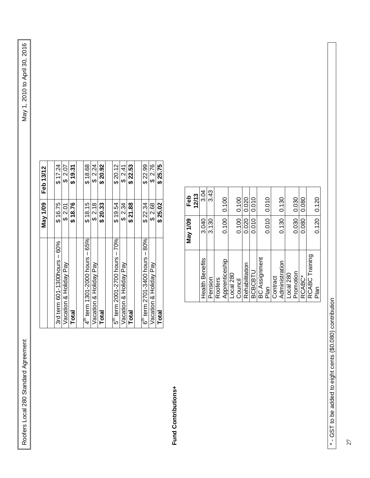Roofers Local 280 Standard Agreement Agreement Agreement Agreement Agreement Agreement April 30, 2016 Roofers Local 280 Standard Agreement

|                                            | May 1/09 | Feb 13/12 |
|--------------------------------------------|----------|-----------|
|                                            |          |           |
| 3rd term 601-1300hours - 60%               | \$16.75  | \$17.24   |
| Vacation & Holiday Pay                     | \$2.01   | \$2.07    |
| <b>Total</b>                               | \$18.76  | \$ 19.31  |
|                                            |          |           |
| $4^{\text{th}}$ term 1301-2000 hours - 65% | \$18.15  | \$18.68   |
| Vacation & Holiday Pay                     | \$2.18   | \$2.24    |
| <b>Total</b>                               | \$20.33  | \$20.92   |
|                                            |          |           |
| $5^{\text{th}}$ term 2001-2700 hours - 70% | \$19.54  | \$20.12   |
| Vacation & Holiday Pay                     | \$2.34   | \$2.41    |
| <b>Total</b>                               | \$21.88  | \$ 22.53  |
|                                            |          |           |
| $6th$ term 2701-3400 hours - 80%           | \$22.34  | \$22.99   |
| Vacation & Holiday Pay                     | \$2.68   | \$2.76    |
| <b>Total</b>                               | \$25.02  | \$25.75   |

Fund Contributions+ **Fund Contributions+**

| 12/13<br>Feb<br>May 1/09 | 3.04<br>3.040   | 3.43<br>3.130 |         | 0.100<br>0.100 |           | 0.100<br>0.100 | 0.020<br>0.020 | 0.010<br>0.010 |                      | 0.010<br>0.010 |          | 0.130<br>0.130 |           | 0.030<br>0.030 | 0.080<br>0.080 |                | 0.120<br>0.120 |
|--------------------------|-----------------|---------------|---------|----------------|-----------|----------------|----------------|----------------|----------------------|----------------|----------|----------------|-----------|----------------|----------------|----------------|----------------|
|                          | Health Benefits | Pension       | Roofers | Apprenticeship | Local 280 | Council        | Rehabilitation | <b>BCBCBTU</b> | <b>BC Assignment</b> | Plan           | Contract | Administration | Local 280 | Promotion      | RCABC*         | RCABC Training | Plan           |

\*- GST to be added to eight cents (\$0.080) contribution \* - GST to be added to eight cents (\$0.080) contribution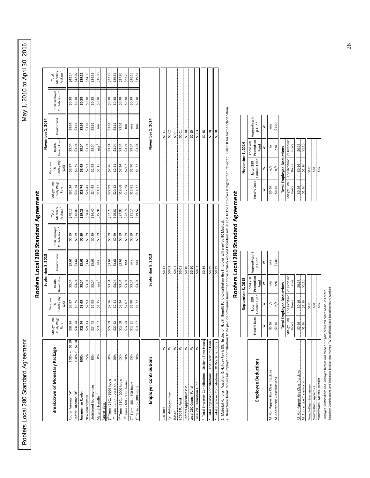Roofers Local 280 Standard Agreement Agreement Agreement Agreement Agreement Agreement April 30, 2016 Roofers Local 280 Standard Agreement

|                                                    |                                      |                                               |                        | September 8, 2013     |                                              |                                           |                                      |                                       |                        | November 1, 2014      |                                              |                                           |
|----------------------------------------------------|--------------------------------------|-----------------------------------------------|------------------------|-----------------------|----------------------------------------------|-------------------------------------------|--------------------------------------|---------------------------------------|------------------------|-----------------------|----------------------------------------------|-------------------------------------------|
| Breakdown of Monetary Package                      | Straight Time<br>Hourly Wage<br>Rate | Holiday Pay<br>Vacation<br>(12%) <sup>1</sup> | Benefit Fund<br>Health | Pension Fund          | Contributions <sup>*</sup><br>Total Employer | Monetary<br>Package <sup>2</sup><br>Total | Straight Time<br>Hourly Wage<br>Rate | Holiday Pay<br>Vacation<br>$(12\%)^1$ | Benefit Fund<br>Health | Pension Fund          | Contributions <sup>*</sup><br>Total Employer | Monetary<br>Package <sup>2</sup><br>Total |
| \$3.50<br>100% +<br>Roofer Foreman "A"             | \$32.24                              | \$3.87                                        | \$3.04                 | \$3.61                | \$0.39                                       | \$43.15                                   | \$32.24                              | \$3.87                                | \$3.04                 | \$3.61                | \$0.38                                       | \$43.14                                   |
| $100% + $2.50$<br>Roofer Foreman "B"               | \$31.24                              | \$3.75                                        | \$3.04                 | 33.61                 | \$0.39                                       | \$42.03                                   | 531.24                               | \$3.75                                | \$3.04                 | \$3.61                | \$0.38                                       | \$42.02                                   |
| 100%<br><b>Journeyman Roofer</b>                   | \$28.74                              | \$3.45                                        | \$3.04                 | \$3.61                | \$0.39                                       | \$39.23                                   | \$28.74                              | \$3.45                                | \$3.04                 | \$3.61                | \$0.38                                       | \$39.22                                   |
| 85%<br>New Journeyman                              | \$24.43                              | \$2.93                                        | \$3.04                 | \$3.61                | \$0.39                                       | \$34.40                                   | \$24.43                              | \$2.93                                | \$3.04                 | \$3.61                | \$0.38                                       | \$34.39                                   |
| 85%<br>Unticketed Journeyman                       | \$24.43                              | \$2.93                                        | \$3.04                 | \$3.61                | \$0.39                                       | \$34.40                                   | \$24.43                              | \$2.93                                | \$3.04                 | \$3.61                | \$0.38                                       | \$34.39                                   |
| 50%<br>Material Handler                            | \$14.37                              | \$1.15                                        | $n/a$ <sup>1</sup>     | n/a                   | \$0.39                                       | \$15.91                                   | \$14.37                              | \$1.15                                | $n/a$ <sup>1</sup>     | $\frac{a}{a}$         | \$0.38                                       | \$15.90                                   |
| Apprentices:                                       |                                      |                                               |                        |                       |                                              |                                           |                                      |                                       |                        |                       |                                              |                                           |
| 80%<br>$6th$ Term - 2701 - 3600 hours              | \$22.99                              | \$2.76                                        | \$3.04                 | \$3.61                | \$0.39                                       | \$32.79                                   | \$22.99                              | \$2.76                                | \$3.04                 | \$3.61                | \$0.38                                       | \$32.78                                   |
| 70%<br>5 <sup>th</sup> Term - 2001 - 2700 hours    | \$20.12                              | \$2.41                                        | \$3.04                 | \$3.61                | \$0.39                                       | \$29.57                                   | \$20.12                              | \$2.41                                | \$3.04                 | \$3.61                | \$0.38                                       | \$29.56                                   |
| 65%<br>$4th$ Term - 1301 - 2000 hours              | \$18.68                              | \$2.24                                        | \$3.04                 | \$3.61                | \$0.39                                       | \$27.96                                   | \$18.68                              | \$2.24                                | \$3.04                 | \$3.61                | \$0.38                                       | \$27.95                                   |
| 60%<br>$3rd$ Term - 601 - 1300 hours               | \$17.24                              | \$2.07                                        | \$3.04                 | n/a                   | \$0.39                                       | \$22.74                                   | \$17.24                              | \$2.07                                | \$3.04                 | $\frac{a}{b}$         | \$0.38                                       | \$22.73                                   |
| 55%<br>$2nd$ Term - 301 - 600 hours                | \$15.81                              | \$1.90                                        | \$3.04                 | n/a                   | \$0.39                                       | \$21.14                                   | \$15.81                              | \$1.90                                | \$3.04                 | n/a                   | \$0.38                                       | \$21.13                                   |
| 50%<br>$1st$ Term - 0 - 300 hours                  | \$14.37                              | \$1.72                                        | \$3.04                 | n/a                   | \$0.39                                       | \$19.52                                   | \$14.37                              | \$1.72                                | \$3.04                 | $\frac{a}{b}$         | \$0.38                                       | \$19.51                                   |
| Employer Contributions                             |                                      |                                               |                        | September 8, 2013     |                                              |                                           |                                      |                                       |                        | November 1, 2014      |                                              |                                           |
| ₹<br>CLR Dues                                      |                                      |                                               |                        | \$0.12                |                                              |                                           |                                      |                                       |                        | \$0.11                |                                              |                                           |
| ₹<br>Rehabilitation Fund                           |                                      |                                               |                        | \$0.02                |                                              |                                           |                                      |                                       |                        | \$0.02                |                                              |                                           |
| ₹<br>JAPlan                                        |                                      |                                               |                        | \$0.01                |                                              |                                           |                                      |                                       |                        | \$0.01                |                                              |                                           |
| ₹<br><b>BCBCBTU Fund</b>                           |                                      |                                               |                        | 50.01                 |                                              |                                           |                                      |                                       |                        | \$0.01                |                                              |                                           |
| ₹<br>Roofers Apprenticeship                        |                                      |                                               |                        | $\frac{50.10}{00.30}$ |                                              |                                           |                                      |                                       |                        | $\frac{50.10}{00.30}$ |                                              |                                           |
| ₹<br>Local 280 Council Fund                        |                                      |                                               |                        |                       |                                              |                                           |                                      |                                       |                        |                       |                                              |                                           |
| ₹<br>Local 280 Promotion Fund                      |                                      |                                               |                        | \$0.03                |                                              |                                           |                                      |                                       |                        | \$0.03                |                                              |                                           |
| Total Employer Contributions - Straight Time Hours |                                      |                                               |                        | \$0.39                |                                              |                                           |                                      |                                       |                        | \$0.38                |                                              |                                           |
| Total Employer Contributions - 1.5X Overtime Hours |                                      |                                               |                        | \$0.39                |                                              |                                           |                                      |                                       |                        | \$0.38                |                                              |                                           |
| * Total Employer Contributions - 2X Overtime Hours |                                      |                                               |                        | \$0.39                |                                              |                                           |                                      |                                       |                        | \$0.38                |                                              |                                           |

# **Roofers Local 280 Standard Agreement** Roofers Local 280 Standard Agreement

1. Material Handler - Vacation & Holiday Pay is 8%. In Lieu of Health Benefit Fund contribution the Employer will provide BC Medical.

1. Material Handler - Vacation & Holiday Pay is 8%. In Lieu of Health Benefit Fund contribution the Employer will provide BC Medical.<br>2. Remittance forms require all Employer Contributions to be paid on 12% more hours than 2. Remittance forms require all Employer Contributions to be paid on 12% more hours than those actually worked therefore actual cost to the Employer is higher than reflected. Call CLR for further clarification.

## **Roofers Local 280 Standard Agreement** Roofers Local 280 Standard Agreement

|                                    |        | September 8, 2013                                     |                   |                         |                                                               | November 1, 2014                            |                                |                      |
|------------------------------------|--------|-------------------------------------------------------|-------------------|-------------------------|---------------------------------------------------------------|---------------------------------------------|--------------------------------|----------------------|
| <b>Employee Deductions</b>         |        | Hourly Dues   Council Fund   Promotion  <br>Local 280 | Local 280<br>Fund | Apprenticeshi<br>p Fund |                                                               | Hourly Dues   Council Fund  <br>Local 280   | Promotion<br>Local 280<br>Fund | Apprentice<br>p Fund |
|                                    | ⋧      | ≩                                                     | $\geq$            | ≷                       |                                                               | ≩                                           | ≷                              | $\geq$               |
| All Non-Apprentice Classifications | \$0.16 | n/a                                                   | n/a               | n/a                     | \$0.16                                                        | n/a                                         | n/a                            | n/a                  |
| All Apprentice Classifications     | \$0.16 | n/a                                                   | n/a               | \$1.00                  | \$0.16                                                        | n/a                                         | n/a                            | \$1.00               |
|                                    |        | <b>Total Employee Deductions</b>                      |                   |                         |                                                               | <b>Total Employee Deductions</b>            |                                |                      |
|                                    |        | Straight Time   1.5X Overtime   2X Overtime           |                   |                         |                                                               | Straight Time   1.5X Overtime   2X Overtime |                                |                      |
|                                    | Hours  | Hours                                                 | Hours             |                         | <b>Hours</b>                                                  | Hours                                       | Hours                          |                      |
| All Non-Apprentice Classifications | \$0.16 | \$0.16                                                | \$0.16            |                         | \$0.16                                                        | \$0.16                                      | \$0.16                         |                      |
| All Apprentice Classifications     | \$1.16 | \$1.16                                                | \$1.16            |                         | \$1.16                                                        | \$1.16                                      | \$1.16                         |                      |
| Monthly Dues - Journeymen          |        | \$112                                                 |                   |                         |                                                               | \$112                                       |                                |                      |
| Monthly Dues - Apprentice          |        | \$58                                                  |                   |                         | 医尿道 医尿道 医尿道 医尿道 医尿道 医血管切除术 医血管切除术 医血管切除术 医血管切除术 医血管切除术 医血管切除术 | \$58                                        |                                |                      |
| Monthly Dues - Material Handler    |        | \$35                                                  |                   |                         |                                                               | \$35                                        |                                |                      |
|                                    |        |                                                       |                   |                         |                                                               |                                             |                                |                      |

Employer Contributions and Employee Deductions marked "E" paid/deducted based on hours Earned<br>Employer Contributions and Employee Deductions marked "W" paid/deducted based on hours Worked Employer Contributions and Employee Deductions marked "W" paid/deducted based on hours Worked Employer Contributions and Employee Deductions marked "E" paid/deducted based on hours Earned

| Council Fund Promotion<br>ht Time   1.5X Overtime   2X Overtime<br>Local 280<br>September 8, 2013<br>\$0.16<br>\$1.16<br><b>Hours</b><br>Fund<br>n/a<br>n/a<br>otal Employee Deductions<br>≷<br>Local 280<br>\$1.16<br>\$0.16<br>Hours<br>n/a<br>n/a<br>\$112<br>⋧<br>ly Dues | Hourly Dues             | ₹ | \$0.16 | \$0.16 | <b>Total Employee Deductions</b> | Straight Time   1.5X Overtime   2X Overtime | <b>Hours</b> | \$0.16 | \$1.16 |  |
|-------------------------------------------------------------------------------------------------------------------------------------------------------------------------------------------------------------------------------------------------------------------------------|-------------------------|---|--------|--------|----------------------------------|---------------------------------------------|--------------|--------|--------|--|
| processes and company of the company of                                                                                                                                                                                                                                       |                         | ₹ | n/a    | \$1.00 |                                  |                                             |              |        |        |  |
| 1.16<br>0.16<br>0.16<br><b>Sunc</b><br>0.16                                                                                                                                                                                                                                   | Apprenticeshi<br>p Fund |   |        |        |                                  |                                             |              |        |        |  |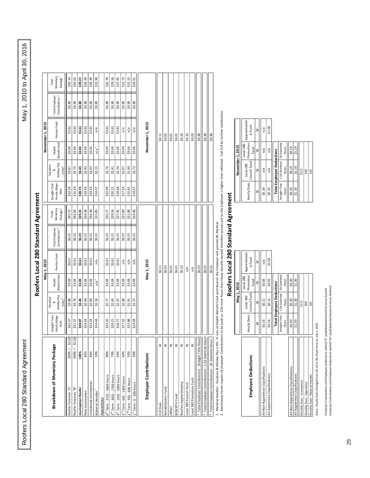Roofers Local 280 Standard Agreement Agreement Agreement Agreement Agreement Agreement April 30, 2016 Roofers Local 280 Standard Agreement

 $\mathbf l$ 

|                                                                                                                                                              |                     |                                        |              | May 1, 2015           |                                  |                     |                     |                            |              | November 1, 2015 |                                   |                                  |
|--------------------------------------------------------------------------------------------------------------------------------------------------------------|---------------------|----------------------------------------|--------------|-----------------------|----------------------------------|---------------------|---------------------|----------------------------|--------------|------------------|-----------------------------------|----------------------------------|
| Breakdown of Monetary Package                                                                                                                                | Straight Time       | Vacation                               | Health       |                       |                                  | Total               | Straight Time       | Vacation                   | Health       |                  |                                   | Total                            |
|                                                                                                                                                              | Hourly Wage<br>Rate | &<br>Holiday Pay<br>(12%) <sup>1</sup> | Benefit Fund | Pension Fund          | Total Employer<br>Contributions* | Monetary<br>Package | Hourly Wage<br>Rate | Holiday Pay<br>$(12%)^{1}$ | Benefit Fund | Pension Fund     | Contributions *<br>Total Employer | Monetary<br>Package <sup>3</sup> |
| 100% +<br>Roofer Foreman "A"                                                                                                                                 | \$32.37<br>53.50    | \$3.88                                 | \$3.04       | \$3.61                | \$0.25                           | \$43.15             | \$32.24             | \$3.87                     | \$3.04       | \$3.61           | \$0.38                            | \$43.14                          |
| $100% +$<br>Roofer Foreman "B"                                                                                                                               | \$31.37<br>52.50    | \$3.76                                 | \$3.04       | \$3.61                |                                  | \$42.03             | \$31.24             | 53.75                      | \$3.04       | 53.61            | 50.38                             | \$42.02                          |
| 100%<br>Journeyman Roofer                                                                                                                                    | \$28.87             | \$3.46                                 |              |                       | $rac{25}{90}$                    | \$39.23             | \$28.74             | \$3.45                     | \$3.04       | \$3.61           |                                   |                                  |
| 85%<br>New Journeyman                                                                                                                                        | \$24.54             | \$2.94                                 | \$3.04       | $\frac{53.61}{53.61}$ |                                  | \$34.38             | \$24.43             | \$2.93                     | \$3.04       | \$3.61           | \$0.38                            | \$39.22                          |
| 85%<br>Unticketed Journeyman                                                                                                                                 | \$24.54             | \$2.94                                 | \$3.04       | \$3.61                | \$0.25                           | \$34.38             | \$24.43             | \$2.93                     | \$3.04       | \$3.61           | \$0.38                            | \$34.39                          |
| 50%<br>Material Handler                                                                                                                                      | \$14.44             | \$1.16                                 | $n/a^1$      | n/a                   | \$0.25                           | \$15.85             | \$14.37             | \$1.15                     | -<br>21      | n/a              | \$0.38                            | \$15.90                          |
| Apprentices:                                                                                                                                                 |                     |                                        |              |                       |                                  |                     |                     |                            |              |                  |                                   |                                  |
| 80%<br>$5th$ Term - 2701 - 3600 hours                                                                                                                        | \$23.10             | \$2.77                                 | \$3.04       | \$3.61                | \$0.25                           | \$32.77             | \$22.99             | \$2.76                     | \$3.04       | \$3.61           | \$0.38                            | \$32.78                          |
| 70%<br>5 <sup>th</sup> Term - 2001 - 2700 hours                                                                                                              | \$20.21             | \$2.43                                 | \$3.04       | \$3.61                | \$0.25                           | \$29.54             | \$20.12             | \$2.41                     | \$3.04       | \$3.61           | \$0.38                            | \$29.56                          |
| 65%<br>$L^{th}$ Term - 1301 - 2000 hours                                                                                                                     | \$18.77             | \$2.25                                 | \$3.04       | \$3.61                | \$0.25                           | \$27.92             | \$18.68             | \$2.24                     | \$3.04       | \$3.61           | \$0.38                            | \$27.95                          |
| 60%<br>$Ird$ Term - 601 - 1300 hours                                                                                                                         | \$17.32             | \$2.08                                 | \$3.04       | n/a                   | \$0.25                           | \$22.69             | \$17.24             | \$2.07                     | \$3.04       | n/a              | \$0.38                            | \$22.73                          |
| 55%<br>$1nd$ Term - 301 - 600 hours                                                                                                                          | \$15.88             | \$1.91                                 | \$3.04       | n/a                   | \$0.25                           | \$21.08             | \$15.81             | \$1.90                     | \$3.04       | n/a              | \$0.38                            | \$21.13                          |
| 50%<br>$L^{st}$ Term - 0 - 300 hours                                                                                                                         | \$14.44             | \$1.73                                 | \$3.04       | n/a                   | \$0.25                           | \$19.46             | \$14.37             | \$1.72                     | \$3.04       | n/a              | \$0.38                            | \$19.51                          |
| Employer Contributions                                                                                                                                       |                     |                                        |              | May 1, 2015           |                                  |                     |                     |                            |              | November 1, 2015 |                                   |                                  |
| ≧<br><b>IR</b> Dues                                                                                                                                          |                     |                                        |              | \$0.11                |                                  |                     |                     |                            |              | \$0.11           |                                   |                                  |
| ≥<br>Rehabilitation Fund                                                                                                                                     |                     |                                        |              | \$0.02                |                                  |                     |                     |                            |              | \$0.02           |                                   |                                  |
| ≶<br>IAPlan                                                                                                                                                  |                     |                                        |              | \$0.01                |                                  |                     |                     |                            |              | \$0.01           |                                   |                                  |
| ≥<br>ł<br><b>BCBCBTU Fund</b>                                                                                                                                |                     |                                        |              | 50.01                 |                                  |                     |                     |                            |              | 50.01            |                                   |                                  |
| ≥<br>Roofers Apprenticeship                                                                                                                                  |                     |                                        |              | \$0.10                |                                  |                     |                     |                            |              | \$0.10           |                                   |                                  |
| ≧<br>Local 280 Council Fund                                                                                                                                  |                     |                                        |              | n/a                   |                                  |                     |                     |                            |              | \$0.10           |                                   |                                  |
| ≶<br>Local 280 Promotion Fund                                                                                                                                |                     |                                        |              | n/a                   |                                  |                     |                     |                            |              | \$0.03           |                                   |                                  |
|                                                                                                                                                              |                     |                                        |              | \$0.25                |                                  |                     |                     |                            |              | \$0.38           |                                   |                                  |
| Total Employer Contributions - Straight Time Hours<br>Total Employer Contributions - 1.5X Overtime Hours<br>Total Employer Contributions - 2X Overtime Hours |                     |                                        |              | \$0.25                |                                  |                     |                     |                            |              | \$0.38           |                                   |                                  |
|                                                                                                                                                              |                     |                                        |              | \$0.25                |                                  |                     |                     |                            |              | \$0.38           |                                   |                                  |

## **Roofers Local 280 Standard Agreement** Roofers Local 280 Standard Agreement

1. Material Handler - Vacation & Holiday Pay is 8%. In Lieu of Health Benefit Fund contribution the Employer will provide BC Medical.

2. Remittance forms require all Employer Contributions to be paid on 12% more hours than those actually worked therefore actual cost to the Employer is higher than reflected. Call CLR for further clarification.

 $\frac{1}{1}$ j -č  $\overline{ }$  $\ddot{\cdot}$ l, Ń  $\overline{1}$ 

| i<br>ı |
|--------|
|        |
|        |
| i      |
| Ì      |
|        |
|        |
|        |
|        |
| J      |
| J      |
|        |
|        |
| J      |
|        |
|        |
|        |
|        |
|        |
|        |
| J      |
|        |

|                                    |              | May 1, 2015                                 |                   |                         |        | November 1, 2015                          |                                |                      |
|------------------------------------|--------------|---------------------------------------------|-------------------|-------------------------|--------|-------------------------------------------|--------------------------------|----------------------|
| <b>Employee Deductions</b>         | Hourly Dues  | I Council Fund Promotion I<br>Local 280     | Local 280<br>Fund | Apprenticeshi<br>p Fund |        | Hourly Dues   Council Fund I<br>Local 280 | Promotion<br>Local 280<br>Fund | Apprentice<br>p Fund |
|                                    | ≷            | ≷                                           | ₹                 | ≷                       | ≷      | ≷                                         | ₹                              | $\geq$               |
| All Non-Apprentice Classifications | \$0.16       | \$0.11                                      | \$0.03            | n/a                     | \$0.19 | n/a                                       | n/a                            | n/a                  |
| All Apprentice Classifications     | \$0.16       | \$0.11                                      | \$0.03            | \$1.00                  | \$0.19 | n/a                                       | n/a                            | \$1.00               |
|                                    |              | <b>Total Employee Deductions</b>            |                   |                         |        | <b>Total Employee Deductions</b>          |                                |                      |
|                                    |              | Straight Time   1.5X Overtime   2X Overtime |                   |                         |        | Straight Time 1.5X Overtime 2X Overtime   |                                |                      |
|                                    | <b>Hours</b> | Hours                                       | Hours             |                         | Hours  | Hours                                     | Hours                          |                      |
| All Non-Apprentice Classifications | \$0.30       | \$0.30                                      | \$0.30            |                         | \$0.19 | \$0.19                                    | \$0.19                         |                      |
| All Apprentice Classifications     | \$1.30       | \$1.30                                      | \$1.30            |                         | \$1.19 | \$1.19                                    | \$1.19                         |                      |
| Monthly Dues - Journeymen          |              | \$112                                       |                   |                         |        | \$112                                     |                                |                      |
| Monthly Dues - Apprentice          |              | \$58                                        |                   |                         |        | \$58                                      |                                |                      |
| Monthly Dues - Material Handler    |              | \$35                                        |                   |                         |        | \$35                                      |                                |                      |
|                                    |              |                                             |                   |                         |        |                                           |                                |                      |

Note: Hourly Dues Changed from \$0.16 to \$0.19 per hour on July 1, 2015. Note: Hourly Dues Changed from \$0.16 to \$0.19 per hour on July 1, 2015. Employer Contributions and Employee Deductions marked "E" pail/deducted based on hours Earned<br>Employer Contributions and Employee Deductions marked "W" paid/deducted based on hours Worked Employer Contributions and Employee Deductions marked "W" paid/deducted based on hours Worked Employer Contributions and Employee Deductions marked "E" paid/deducted based on hours Earned

|         | May 1, 2015                           |                                |                         |             | November 1, 2015                            |                                |                         |  |
|---------|---------------------------------------|--------------------------------|-------------------------|-------------|---------------------------------------------|--------------------------------|-------------------------|--|
| ly Dues | Council Fund<br>Local 280             | Promotion<br>Local 280<br>Fund | Apprenticeshi<br>p Fund | Hourly Dues | Council Fund<br>Local 280                   | Promotion<br>Local 280<br>Fund | Apprenticeshi<br>p Fund |  |
|         | ⋧                                     | ≷                              | 3                       | ≷           | ≷                                           | ≷                              | ≷                       |  |
| 0.16    | \$0.11                                | \$0.03                         | n/a                     | \$0.19      | n/a                                         | n/a                            | n/a                     |  |
| 0.16    | \$0.11                                | \$0.03                         | \$1.00                  | \$0.19      | n/a                                         | n/a                            | \$1.00                  |  |
|         | otal Employee Deductions              |                                |                         |             | <b>Total Employee Deductions</b>            |                                |                         |  |
|         | ht Time   1.5X Overtime   2X Overtime |                                |                         |             | Straight Time   1.5X Overtime   2X Overtime |                                |                         |  |
| ours    | Hours                                 | Hours                          |                         | Hours       | Hours                                       | <b>Hours</b>                   |                         |  |
| 0.30    | \$0.30                                | \$0.30                         |                         | \$0.19      | \$0.19                                      | \$0.19                         |                         |  |
| 1.30    | \$1.30                                | \$1.30                         |                         | \$1.19      | \$1.19                                      | \$1.19                         |                         |  |
|         | \$112                                 |                                |                         |             | \$112                                       |                                |                         |  |
|         | \$58                                  |                                |                         |             | \$58                                        |                                |                         |  |
|         | \$35                                  |                                |                         |             | \$35                                        |                                |                         |  |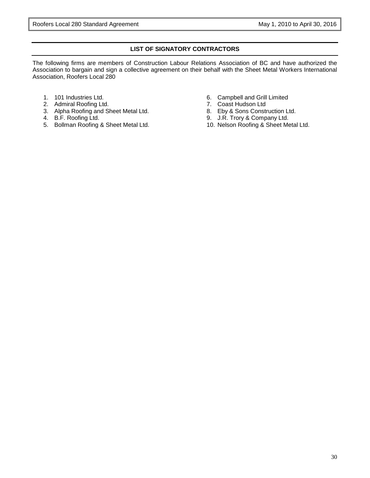#### **LIST OF SIGNATORY CONTRACTORS**

The following firms are members of Construction Labour Relations Association of BC and have authorized the Association to bargain and sign a collective agreement on their behalf with the Sheet Metal Workers International Association, Roofers Local 280

- 1. 101 Industries Ltd.
- 2. Admiral Roofing Ltd.
- 3. Alpha Roofing and Sheet Metal Ltd.
- 4. B.F. Roofing Ltd.
- 5. Bollman Roofing & Sheet Metal Ltd.
- 6. Campbell and Grill Limited
- 7. Coast Hudson Ltd
- 8. Eby & Sons Construction Ltd.
- 9. J.R. Trory & Company Ltd.
- 10. Nelson Roofing & Sheet Metal Ltd.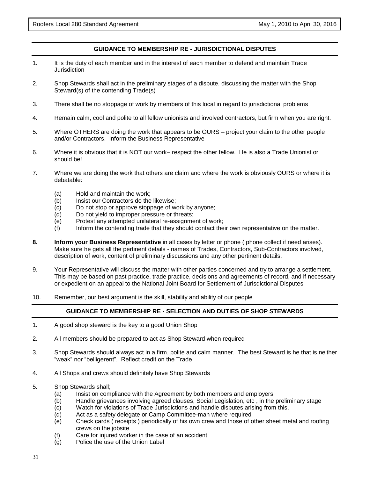#### **GUIDANCE TO MEMBERSHIP RE - JURISDICTIONAL DISPUTES**

- 1. It is the duty of each member and in the interest of each member to defend and maintain Trade **Jurisdiction**
- 2. Shop Stewards shall act in the preliminary stages of a dispute, discussing the matter with the Shop Steward(s) of the contending Trade(s)
- 3. There shall be no stoppage of work by members of this local in regard to jurisdictional problems
- 4. Remain calm, cool and polite to all fellow unionists and involved contractors, but firm when you are right.
- 5. Where OTHERS are doing the work that appears to be OURS project your claim to the other people and/or Contractors. Inform the Business Representative
- 6. Where it is obvious that it is NOT our work– respect the other fellow. He is also a Trade Unionist or should be!
- 7. Where we are doing the work that others are claim and where the work is obviously OURS or where it is debatable:
	- (a) Hold and maintain the work;
	- (b) Insist our Contractors do the likewise;
	- (c) Do not stop or approve stoppage of work by anyone;
	- (d) Do not yield to improper pressure or threats;
	- (e) Protest any attempted unilateral re-assignment of work;
	- (f) Inform the contending trade that they should contact their own representative on the matter.
- **8. Inform your Business Representative** in all cases by letter or phone ( phone collect if need arises). Make sure he gets all the pertinent details - names of Trades, Contractors, Sub-Contractors involved, description of work, content of preliminary discussions and any other pertinent details.
- 9. Your Representative will discuss the matter with other parties concerned and try to arrange a settlement. This may be based on past practice, trade practice, decisions and agreements of record, and if necessary or expedient on an appeal to the National Joint Board for Settlement of Jurisdictional Disputes
- 10. Remember, our best argument is the skill, stability and ability of our people

#### **GUIDANCE TO MEMBERSHIP RE - SELECTION AND DUTIES OF SHOP STEWARDS**

- 1. A good shop steward is the key to a good Union Shop
- 2. All members should be prepared to act as Shop Steward when required
- 3. Shop Stewards should always act in a firm, polite and calm manner. The best Steward is he that is neither "weak" nor "belligerent". Reflect credit on the Trade
- 4. All Shops and crews should definitely have Shop Stewards
- 5. Shop Stewards shall;
	- (a) Insist on compliance with the Agreement by both members and employers
	- (b) Handle grievances involving agreed clauses, Social Legislation, etc , in the preliminary stage
	- (c) Watch for violations of Trade Jurisdictions and handle disputes arising from this.
	- (d) Act as a safety delegate or Camp Committee-man where required
	- (e) Check cards ( receipts ) periodically of his own crew and those of other sheet metal and roofing crews on the jobsite
	- (f) Care for injured worker in the case of an accident
	- (g) Police the use of the Union Label